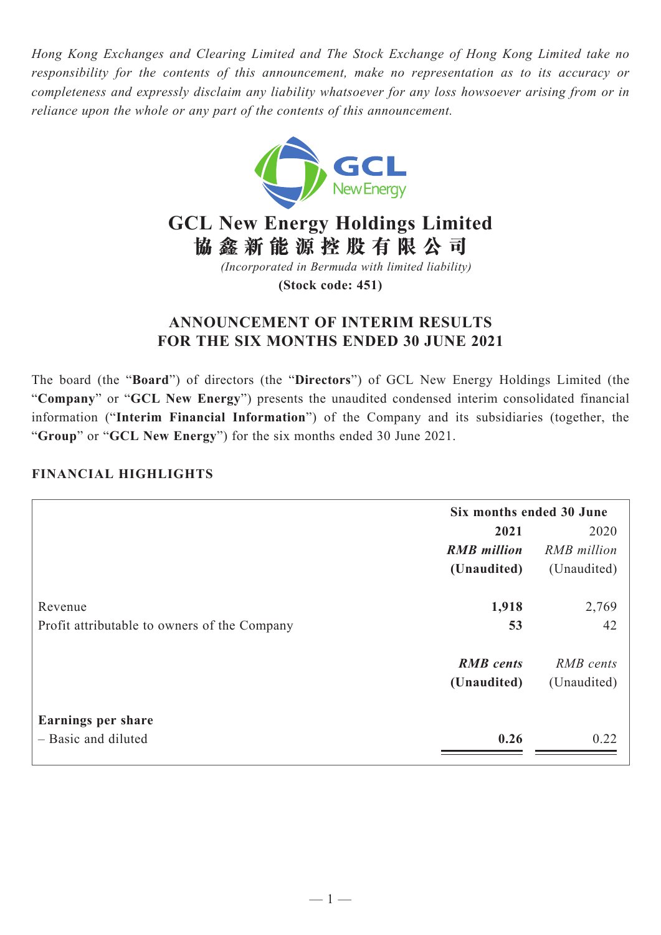*Hong Kong Exchanges and Clearing Limited and The Stock Exchange of Hong Kong Limited take no responsibility for the contents of this announcement, make no representation as to its accuracy or completeness and expressly disclaim any liability whatsoever for any loss howsoever arising from or in reliance upon the whole or any part of the contents of this announcement.*



# **GCL New Energy Holdings Limited 協鑫新能源控股有限公司**

*(Incorporated in Bermuda with limited liability)*

**(Stock code: 451)**

# **ANNOUNCEMENT OF INTERIM RESULTS FOR THE SIX MONTHS ENDED 30 JUNE 2021**

The board (the "**Board**") of directors (the "**Directors**") of GCL New Energy Holdings Limited (the "**Company**" or "**GCL New Energy**") presents the unaudited condensed interim consolidated financial information ("**Interim Financial Information**") of the Company and its subsidiaries (together, the "**Group**" or "**GCL New Energy**") for the six months ended 30 June 2021.

## **FINANCIAL HIGHLIGHTS**

|                                              | Six months ended 30 June |             |
|----------------------------------------------|--------------------------|-------------|
|                                              | 2021                     | 2020        |
|                                              | <b>RMB</b> million       | RMB million |
|                                              | (Unaudited)              | (Unaudited) |
| Revenue                                      | 1,918                    | 2,769       |
| Profit attributable to owners of the Company | 53                       | 42          |
|                                              | <b>RMB</b> cents         | RMB cents   |
|                                              | (Unaudited)              | (Unaudited) |
| <b>Earnings per share</b>                    |                          |             |
| - Basic and diluted                          | 0.26                     | 0.22        |
|                                              |                          |             |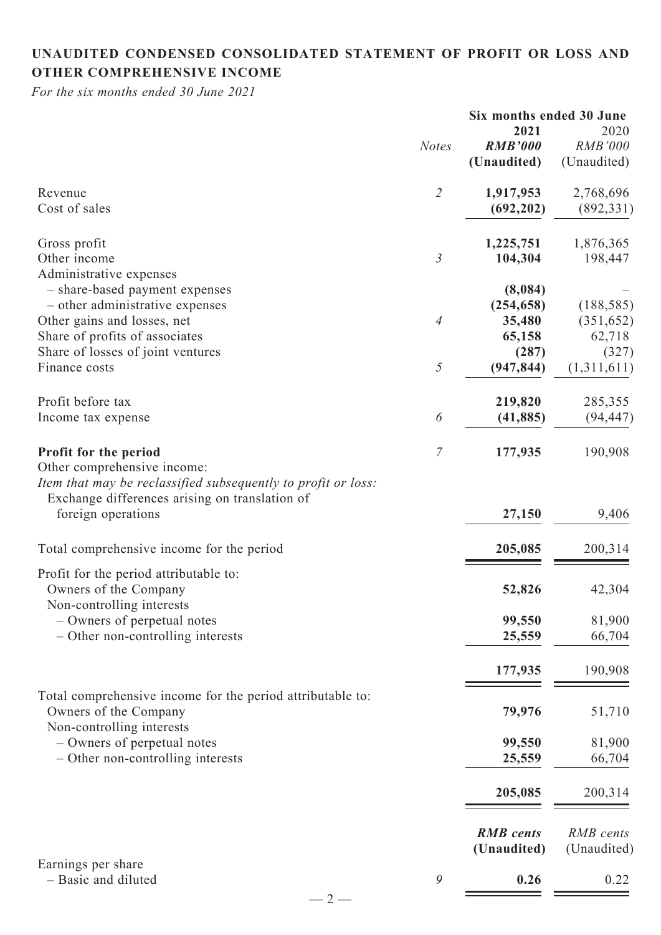# **UNAUDITED CONDENSED CONSOLIDATED STATEMENT OF PROFIT OR LOSS AND OTHER COMPREHENSIVE INCOME**

*For the six months ended 30 June 2021*

|                                                                                                                       |                | Six months ended 30 June              |                                       |
|-----------------------------------------------------------------------------------------------------------------------|----------------|---------------------------------------|---------------------------------------|
|                                                                                                                       | <b>Notes</b>   | 2021<br><b>RMB'000</b><br>(Unaudited) | 2020<br><b>RMB'000</b><br>(Unaudited) |
| Revenue<br>Cost of sales                                                                                              | $\overline{2}$ | 1,917,953<br>(692, 202)               | 2,768,696<br>(892, 331)               |
| Gross profit<br>Other income<br>Administrative expenses                                                               | $\mathfrak{Z}$ | 1,225,751<br>104,304                  | 1,876,365<br>198,447                  |
| - share-based payment expenses<br>- other administrative expenses<br>Other gains and losses, net                      | $\overline{4}$ | (8,084)<br>(254, 658)<br>35,480       | (188, 585)<br>(351, 652)              |
| Share of profits of associates<br>Share of losses of joint ventures<br>Finance costs                                  | $\sqrt{2}$     | 65,158<br>(287)<br>(947, 844)         | 62,718<br>(327)<br>(1,311,611)        |
| Profit before tax<br>Income tax expense                                                                               | 6              | 219,820<br>(41, 885)                  | 285,355<br>(94, 447)                  |
| Profit for the period<br>Other comprehensive income:<br>Item that may be reclassified subsequently to profit or loss: | $\overline{7}$ | 177,935                               | 190,908                               |
| Exchange differences arising on translation of<br>foreign operations                                                  |                | 27,150                                | 9,406                                 |
| Total comprehensive income for the period                                                                             |                | 205,085                               | 200,314                               |
| Profit for the period attributable to:<br>Owners of the Company<br>Non-controlling interests                          |                | 52,826                                | 42,304                                |
| - Owners of perpetual notes<br>- Other non-controlling interests                                                      |                | 99,550<br>25,559                      | 81,900<br>66,704                      |
|                                                                                                                       |                | 177,935                               | 190,908                               |
| Total comprehensive income for the period attributable to:<br>Owners of the Company<br>Non-controlling interests      |                | 79,976                                | 51,710                                |
| - Owners of perpetual notes<br>- Other non-controlling interests                                                      |                | 99,550<br>25,559                      | 81,900<br>66,704                      |
|                                                                                                                       |                | 205,085                               | 200,314                               |
|                                                                                                                       |                | <b>RMB</b> cents<br>(Unaudited)       | RMB cents<br>(Unaudited)              |
| Earnings per share<br>- Basic and diluted<br>$2 -$                                                                    | 9              | 0.26                                  | 0.22                                  |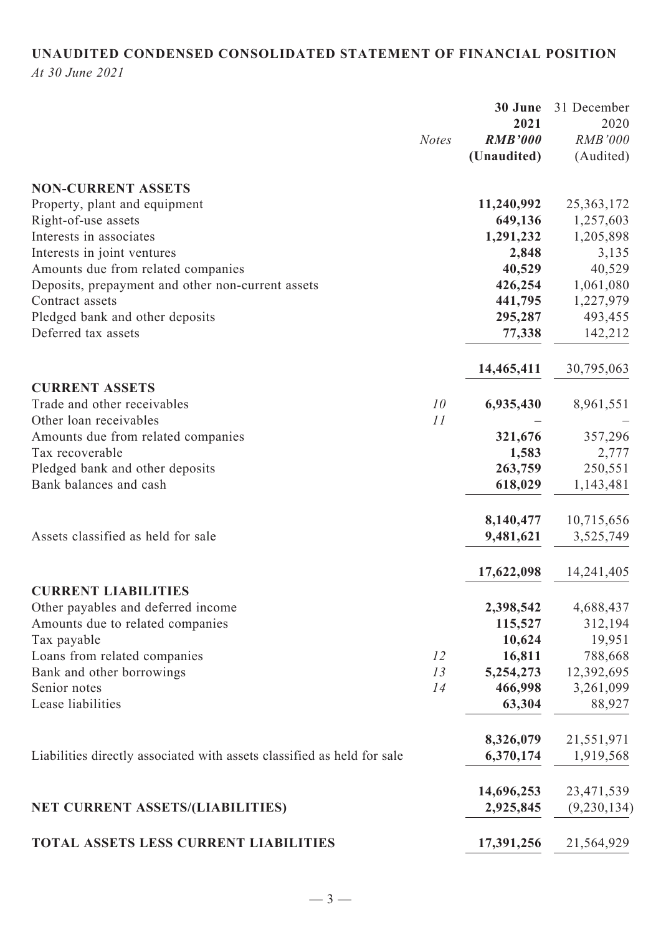# **UNAUDITED CONDENSED CONSOLIDATED STATEMENT OF FINANCIAL POSITION**

*At 30 June 2021*

|                                                                         |              | 30 June                 | 31 December                 |
|-------------------------------------------------------------------------|--------------|-------------------------|-----------------------------|
|                                                                         |              | 2021                    | 2020                        |
|                                                                         | <b>Notes</b> | <b>RMB'000</b>          | <b>RMB'000</b>              |
|                                                                         |              | (Unaudited)             | (Audited)                   |
| <b>NON-CURRENT ASSETS</b>                                               |              |                         |                             |
| Property, plant and equipment                                           |              | 11,240,992              | 25, 363, 172                |
| Right-of-use assets                                                     |              | 649,136                 | 1,257,603                   |
| Interests in associates                                                 |              | 1,291,232               | 1,205,898                   |
| Interests in joint ventures                                             |              | 2,848                   | 3,135                       |
| Amounts due from related companies                                      |              | 40,529                  | 40,529                      |
| Deposits, prepayment and other non-current assets                       |              | 426,254                 | 1,061,080                   |
| Contract assets                                                         |              | 441,795                 | 1,227,979                   |
| Pledged bank and other deposits                                         |              | 295,287                 | 493,455                     |
| Deferred tax assets                                                     |              | 77,338                  | 142,212                     |
|                                                                         |              | 14,465,411              | 30,795,063                  |
| <b>CURRENT ASSETS</b>                                                   |              |                         |                             |
| Trade and other receivables                                             | 10           | 6,935,430               | 8,961,551                   |
| Other loan receivables                                                  | 11           |                         |                             |
| Amounts due from related companies                                      |              | 321,676                 | 357,296                     |
| Tax recoverable                                                         |              | 1,583                   | 2,777                       |
| Pledged bank and other deposits                                         |              | 263,759                 | 250,551                     |
| Bank balances and cash                                                  |              | 618,029                 | 1,143,481                   |
|                                                                         |              | 8,140,477               | 10,715,656                  |
| Assets classified as held for sale                                      |              | 9,481,621               | 3,525,749                   |
|                                                                         |              |                         |                             |
|                                                                         |              | 17,622,098              | 14,241,405                  |
| <b>CURRENT LIABILITIES</b>                                              |              |                         |                             |
| Other payables and deferred income                                      |              | 2,398,542               | 4,688,437                   |
| Amounts due to related companies                                        |              | 115,527                 | 312,194                     |
| Tax payable                                                             |              | 10,624                  | 19,951                      |
| Loans from related companies                                            | 12           | 16,811                  | 788,668                     |
| Bank and other borrowings                                               | 13           | 5,254,273               | 12,392,695                  |
| Senior notes                                                            | 14           | 466,998                 | 3,261,099                   |
| Lease liabilities                                                       |              | 63,304                  | 88,927                      |
|                                                                         |              | 8,326,079               | 21,551,971                  |
| Liabilities directly associated with assets classified as held for sale |              | 6,370,174               | 1,919,568                   |
|                                                                         |              |                         |                             |
| NET CURRENT ASSETS/(LIABILITIES)                                        |              | 14,696,253<br>2,925,845 | 23,471,539<br>(9, 230, 134) |
|                                                                         |              |                         |                             |
| TOTAL ASSETS LESS CURRENT LIABILITIES                                   |              | 17,391,256              | 21,564,929                  |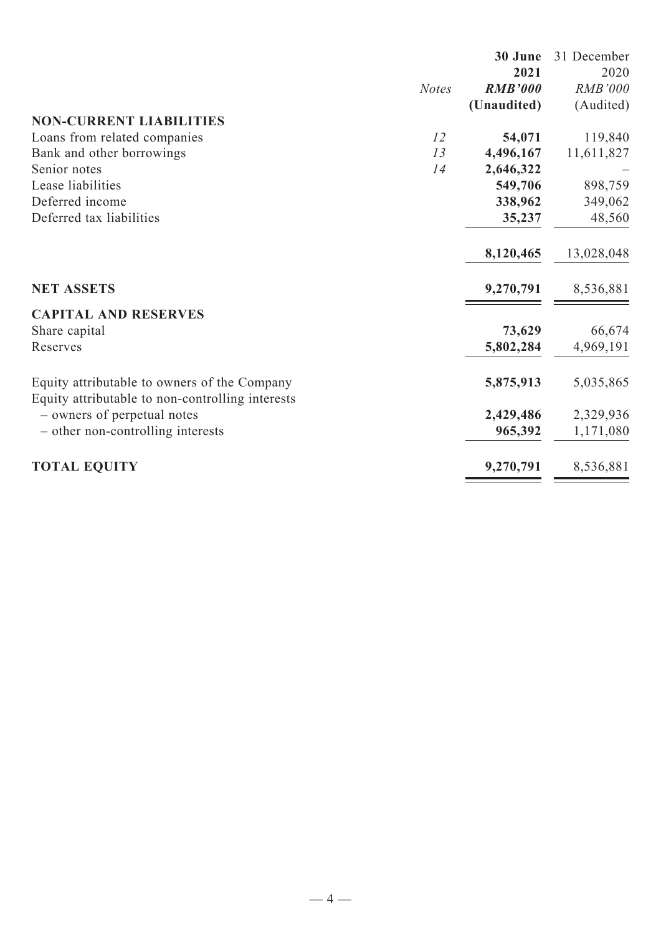|                                                                                 |              | 30 June<br>2021 | 31 December    |
|---------------------------------------------------------------------------------|--------------|-----------------|----------------|
|                                                                                 |              | <b>RMB'000</b>  | 2020           |
|                                                                                 | <b>Notes</b> |                 | <b>RMB'000</b> |
|                                                                                 |              | (Unaudited)     | (Audited)      |
| <b>NON-CURRENT LIABILITIES</b>                                                  |              |                 |                |
| Loans from related companies                                                    | 12           | 54,071          | 119,840        |
| Bank and other borrowings                                                       | 13           | 4,496,167       | 11,611,827     |
| Senior notes                                                                    | 14           | 2,646,322       |                |
| Lease liabilities                                                               |              | 549,706         | 898,759        |
| Deferred income                                                                 |              | 338,962         | 349,062        |
| Deferred tax liabilities                                                        |              | 35,237          | 48,560         |
|                                                                                 |              |                 |                |
|                                                                                 |              | 8,120,465       | 13,028,048     |
| <b>NET ASSETS</b>                                                               |              | 9,270,791       | 8,536,881      |
| <b>CAPITAL AND RESERVES</b>                                                     |              |                 |                |
| Share capital                                                                   |              | 73,629          | 66,674         |
| Reserves                                                                        |              | 5,802,284       | 4,969,191      |
| Equity attributable to owners of the Company                                    |              | 5,875,913       | 5,035,865      |
| Equity attributable to non-controlling interests<br>- owners of perpetual notes |              | 2,429,486       | 2,329,936      |
| - other non-controlling interests                                               |              | 965,392         | 1,171,080      |
|                                                                                 |              |                 |                |
| <b>TOTAL EQUITY</b>                                                             |              | 9,270,791       | 8,536,881      |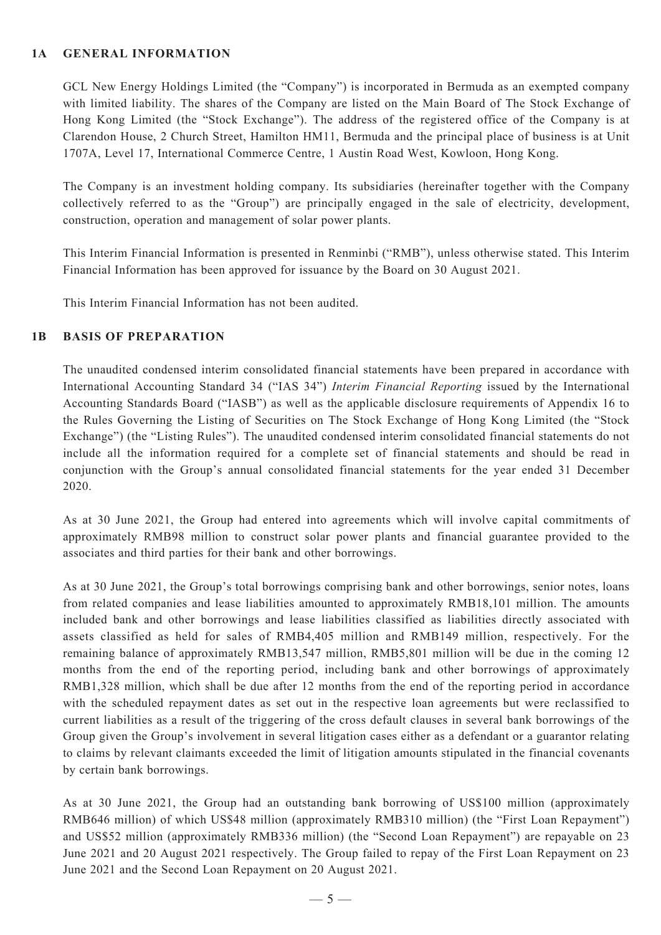#### **1A GENERAL INFORMATION**

GCL New Energy Holdings Limited (the "Company") is incorporated in Bermuda as an exempted company with limited liability. The shares of the Company are listed on the Main Board of The Stock Exchange of Hong Kong Limited (the "Stock Exchange"). The address of the registered office of the Company is at Clarendon House, 2 Church Street, Hamilton HM11, Bermuda and the principal place of business is at Unit 1707A, Level 17, International Commerce Centre, 1 Austin Road West, Kowloon, Hong Kong.

The Company is an investment holding company. Its subsidiaries (hereinafter together with the Company collectively referred to as the "Group") are principally engaged in the sale of electricity, development, construction, operation and management of solar power plants.

This Interim Financial Information is presented in Renminbi ("RMB"), unless otherwise stated. This Interim Financial Information has been approved for issuance by the Board on 30 August 2021.

This Interim Financial Information has not been audited.

#### **1B BASIS OF PREPARATION**

The unaudited condensed interim consolidated financial statements have been prepared in accordance with International Accounting Standard 34 ("IAS 34") *Interim Financial Reporting* issued by the International Accounting Standards Board ("IASB") as well as the applicable disclosure requirements of Appendix 16 to the Rules Governing the Listing of Securities on The Stock Exchange of Hong Kong Limited (the "Stock Exchange") (the "Listing Rules"). The unaudited condensed interim consolidated financial statements do not include all the information required for a complete set of financial statements and should be read in conjunction with the Group's annual consolidated financial statements for the year ended 31 December 2020.

As at 30 June 2021, the Group had entered into agreements which will involve capital commitments of approximately RMB98 million to construct solar power plants and financial guarantee provided to the associates and third parties for their bank and other borrowings.

As at 30 June 2021, the Group's total borrowings comprising bank and other borrowings, senior notes, loans from related companies and lease liabilities amounted to approximately RMB18,101 million. The amounts included bank and other borrowings and lease liabilities classified as liabilities directly associated with assets classified as held for sales of RMB4,405 million and RMB149 million, respectively. For the remaining balance of approximately RMB13,547 million, RMB5,801 million will be due in the coming 12 months from the end of the reporting period, including bank and other borrowings of approximately RMB1,328 million, which shall be due after 12 months from the end of the reporting period in accordance with the scheduled repayment dates as set out in the respective loan agreements but were reclassified to current liabilities as a result of the triggering of the cross default clauses in several bank borrowings of the Group given the Group's involvement in several litigation cases either as a defendant or a guarantor relating to claims by relevant claimants exceeded the limit of litigation amounts stipulated in the financial covenants by certain bank borrowings.

As at 30 June 2021, the Group had an outstanding bank borrowing of US\$100 million (approximately RMB646 million) of which US\$48 million (approximately RMB310 million) (the "First Loan Repayment") and US\$52 million (approximately RMB336 million) (the "Second Loan Repayment") are repayable on 23 June 2021 and 20 August 2021 respectively. The Group failed to repay of the First Loan Repayment on 23 June 2021 and the Second Loan Repayment on 20 August 2021.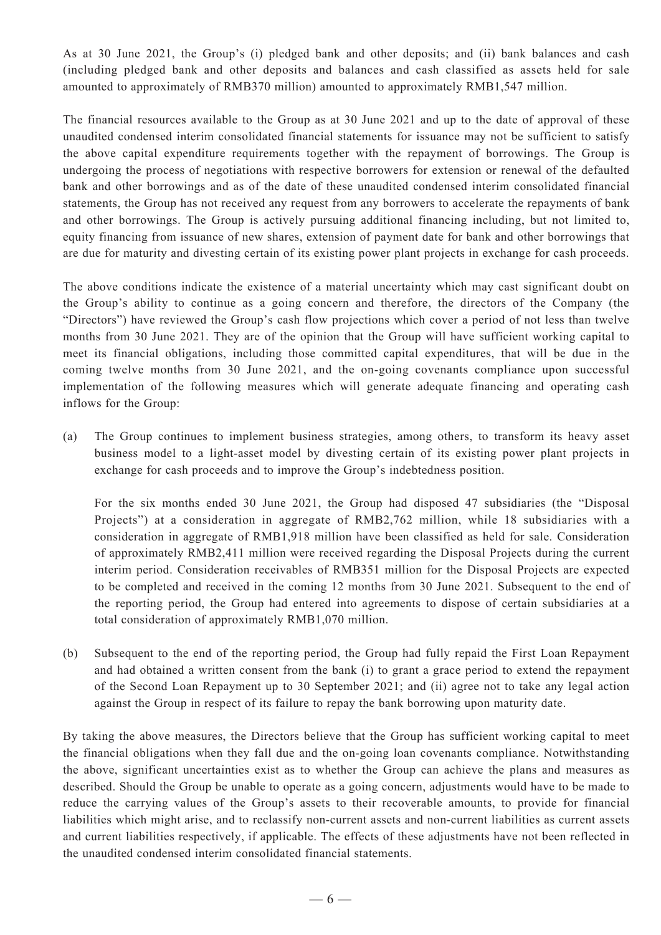As at 30 June 2021, the Group's (i) pledged bank and other deposits; and (ii) bank balances and cash (including pledged bank and other deposits and balances and cash classified as assets held for sale amounted to approximately of RMB370 million) amounted to approximately RMB1,547 million.

The financial resources available to the Group as at 30 June 2021 and up to the date of approval of these unaudited condensed interim consolidated financial statements for issuance may not be sufficient to satisfy the above capital expenditure requirements together with the repayment of borrowings. The Group is undergoing the process of negotiations with respective borrowers for extension or renewal of the defaulted bank and other borrowings and as of the date of these unaudited condensed interim consolidated financial statements, the Group has not received any request from any borrowers to accelerate the repayments of bank and other borrowings. The Group is actively pursuing additional financing including, but not limited to, equity financing from issuance of new shares, extension of payment date for bank and other borrowings that are due for maturity and divesting certain of its existing power plant projects in exchange for cash proceeds.

The above conditions indicate the existence of a material uncertainty which may cast significant doubt on the Group's ability to continue as a going concern and therefore, the directors of the Company (the "Directors") have reviewed the Group's cash flow projections which cover a period of not less than twelve months from 30 June 2021. They are of the opinion that the Group will have sufficient working capital to meet its financial obligations, including those committed capital expenditures, that will be due in the coming twelve months from 30 June 2021, and the on-going covenants compliance upon successful implementation of the following measures which will generate adequate financing and operating cash inflows for the Group:

(a) The Group continues to implement business strategies, among others, to transform its heavy asset business model to a light-asset model by divesting certain of its existing power plant projects in exchange for cash proceeds and to improve the Group's indebtedness position.

For the six months ended 30 June 2021, the Group had disposed 47 subsidiaries (the "Disposal Projects") at a consideration in aggregate of RMB2,762 million, while 18 subsidiaries with a consideration in aggregate of RMB1,918 million have been classified as held for sale. Consideration of approximately RMB2,411 million were received regarding the Disposal Projects during the current interim period. Consideration receivables of RMB351 million for the Disposal Projects are expected to be completed and received in the coming 12 months from 30 June 2021. Subsequent to the end of the reporting period, the Group had entered into agreements to dispose of certain subsidiaries at a total consideration of approximately RMB1,070 million.

(b) Subsequent to the end of the reporting period, the Group had fully repaid the First Loan Repayment and had obtained a written consent from the bank (i) to grant a grace period to extend the repayment of the Second Loan Repayment up to 30 September 2021; and (ii) agree not to take any legal action against the Group in respect of its failure to repay the bank borrowing upon maturity date.

By taking the above measures, the Directors believe that the Group has sufficient working capital to meet the financial obligations when they fall due and the on-going loan covenants compliance. Notwithstanding the above, significant uncertainties exist as to whether the Group can achieve the plans and measures as described. Should the Group be unable to operate as a going concern, adjustments would have to be made to reduce the carrying values of the Group's assets to their recoverable amounts, to provide for financial liabilities which might arise, and to reclassify non-current assets and non-current liabilities as current assets and current liabilities respectively, if applicable. The effects of these adjustments have not been reflected in the unaudited condensed interim consolidated financial statements.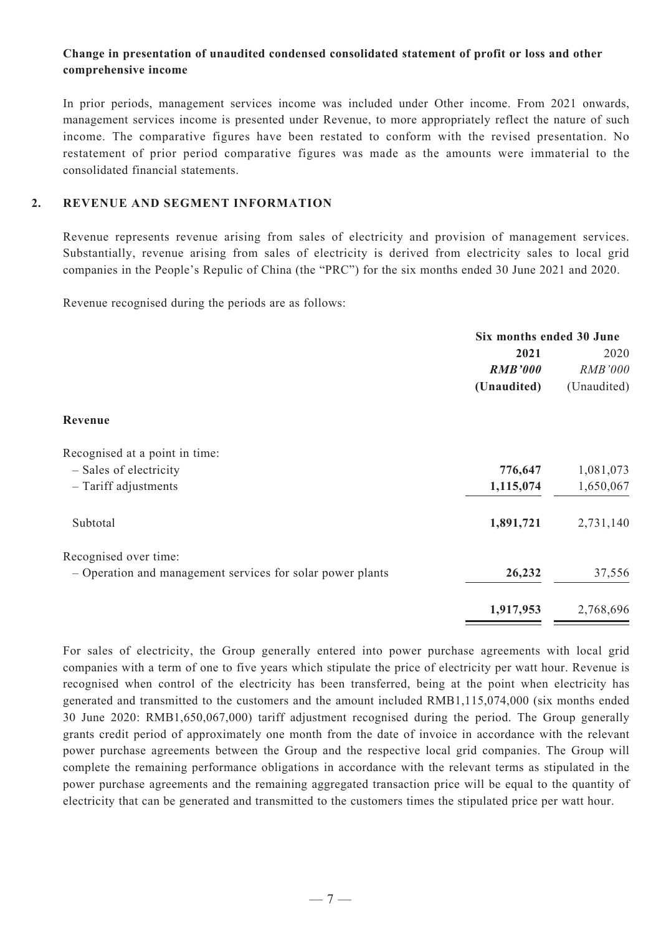## **Change in presentation of unaudited condensed consolidated statement of profit or loss and other comprehensive income**

In prior periods, management services income was included under Other income. From 2021 onwards, management services income is presented under Revenue, to more appropriately reflect the nature of such income. The comparative figures have been restated to conform with the revised presentation. No restatement of prior period comparative figures was made as the amounts were immaterial to the consolidated financial statements.

#### **2. REVENUE AND SEGMENT INFORMATION**

Revenue represents revenue arising from sales of electricity and provision of management services. Substantially, revenue arising from sales of electricity is derived from electricity sales to local grid companies in the People's Repulic of China (the "PRC") for the six months ended 30 June 2021 and 2020.

Revenue recognised during the periods are as follows:

|                                                            | Six months ended 30 June |                |
|------------------------------------------------------------|--------------------------|----------------|
|                                                            | 2021                     | 2020           |
|                                                            | <b>RMB'000</b>           | <b>RMB'000</b> |
|                                                            | (Unaudited)              | (Unaudited)    |
| Revenue                                                    |                          |                |
| Recognised at a point in time:                             |                          |                |
| - Sales of electricity                                     | 776,647                  | 1,081,073      |
| $-$ Tariff adjustments                                     | 1,115,074                | 1,650,067      |
| Subtotal                                                   | 1,891,721                | 2,731,140      |
| Recognised over time:                                      |                          |                |
| - Operation and management services for solar power plants | 26,232                   | 37,556         |
|                                                            | 1,917,953                | 2,768,696      |
|                                                            |                          |                |

For sales of electricity, the Group generally entered into power purchase agreements with local grid companies with a term of one to five years which stipulate the price of electricity per watt hour. Revenue is recognised when control of the electricity has been transferred, being at the point when electricity has generated and transmitted to the customers and the amount included RMB1,115,074,000 (six months ended 30 June 2020: RMB1,650,067,000) tariff adjustment recognised during the period. The Group generally grants credit period of approximately one month from the date of invoice in accordance with the relevant power purchase agreements between the Group and the respective local grid companies. The Group will complete the remaining performance obligations in accordance with the relevant terms as stipulated in the power purchase agreements and the remaining aggregated transaction price will be equal to the quantity of electricity that can be generated and transmitted to the customers times the stipulated price per watt hour.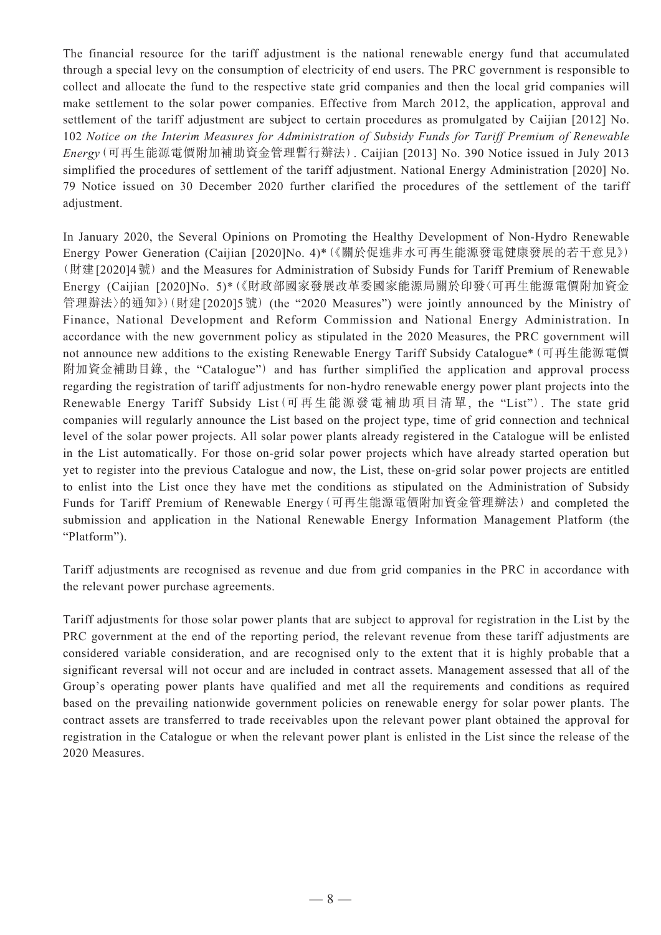The financial resource for the tariff adjustment is the national renewable energy fund that accumulated through a special levy on the consumption of electricity of end users. The PRC government is responsible to collect and allocate the fund to the respective state grid companies and then the local grid companies will make settlement to the solar power companies. Effective from March 2012, the application, approval and settlement of the tariff adjustment are subject to certain procedures as promulgated by Caijian [2012] No. 102 *Notice on the Interim Measures for Administration of Subsidy Funds for Tariff Premium of Renewable Energy*(可再生能源電價附加補助資金管理暫行辦法). Caijian [2013] No. 390 Notice issued in July 2013 simplified the procedures of settlement of the tariff adjustment. National Energy Administration [2020] No. 79 Notice issued on 30 December 2020 further clarified the procedures of the settlement of the tariff adjustment.

In January 2020, the Several Opinions on Promoting the Healthy Development of Non-Hydro Renewable Energy Power Generation (Caijian [2020]No. 4)\*(《關於促進非水可再生能源發電健康發展的若干意見》) (財建[2020]4號) and the Measures for Administration of Subsidy Funds for Tariff Premium of Renewable Energy (Caijian [2020]No. 5)\*(《財政部國家發展改革委國家能源局關於印發〈可再生能源電價附加資金 管理辦法〉的通知》)(財建[2020]5號) (the "2020 Measures") were jointly announced by the Ministry of Finance, National Development and Reform Commission and National Energy Administration. In accordance with the new government policy as stipulated in the 2020 Measures, the PRC government will not announce new additions to the existing Renewable Energy Tariff Subsidy Catalogue\*(可再生能源電價 附加資金補助目錄, the "Catalogue") and has further simplified the application and approval process regarding the registration of tariff adjustments for non-hydro renewable energy power plant projects into the Renewable Energy Tariff Subsidy List(可再生能源發電補助項目清單, the "List"). The state grid companies will regularly announce the List based on the project type, time of grid connection and technical level of the solar power projects. All solar power plants already registered in the Catalogue will be enlisted in the List automatically. For those on-grid solar power projects which have already started operation but yet to register into the previous Catalogue and now, the List, these on-grid solar power projects are entitled to enlist into the List once they have met the conditions as stipulated on the Administration of Subsidy Funds for Tariff Premium of Renewable Energy(可再生能源電價附加資金管理辦法) and completed the submission and application in the National Renewable Energy Information Management Platform (the "Platform").

Tariff adjustments are recognised as revenue and due from grid companies in the PRC in accordance with the relevant power purchase agreements.

Tariff adjustments for those solar power plants that are subject to approval for registration in the List by the PRC government at the end of the reporting period, the relevant revenue from these tariff adjustments are considered variable consideration, and are recognised only to the extent that it is highly probable that a significant reversal will not occur and are included in contract assets. Management assessed that all of the Group's operating power plants have qualified and met all the requirements and conditions as required based on the prevailing nationwide government policies on renewable energy for solar power plants. The contract assets are transferred to trade receivables upon the relevant power plant obtained the approval for registration in the Catalogue or when the relevant power plant is enlisted in the List since the release of the 2020 Measures.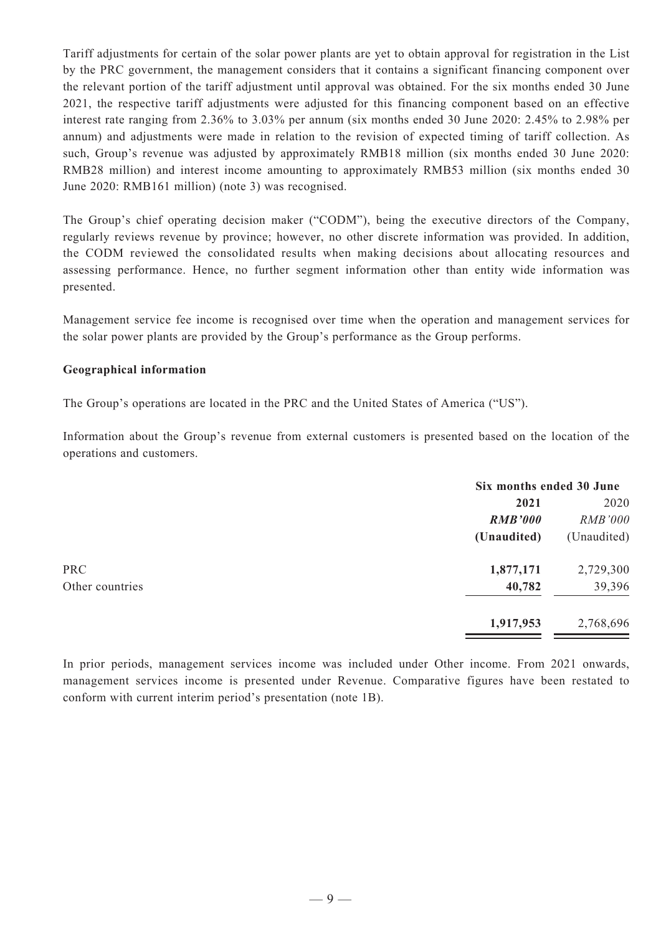Tariff adjustments for certain of the solar power plants are yet to obtain approval for registration in the List by the PRC government, the management considers that it contains a significant financing component over the relevant portion of the tariff adjustment until approval was obtained. For the six months ended 30 June 2021, the respective tariff adjustments were adjusted for this financing component based on an effective interest rate ranging from 2.36% to 3.03% per annum (six months ended 30 June 2020: 2.45% to 2.98% per annum) and adjustments were made in relation to the revision of expected timing of tariff collection. As such, Group's revenue was adjusted by approximately RMB18 million (six months ended 30 June 2020: RMB28 million) and interest income amounting to approximately RMB53 million (six months ended 30 June 2020: RMB161 million) (note 3) was recognised.

The Group's chief operating decision maker ("CODM"), being the executive directors of the Company, regularly reviews revenue by province; however, no other discrete information was provided. In addition, the CODM reviewed the consolidated results when making decisions about allocating resources and assessing performance. Hence, no further segment information other than entity wide information was presented.

Management service fee income is recognised over time when the operation and management services for the solar power plants are provided by the Group's performance as the Group performs.

#### **Geographical information**

The Group's operations are located in the PRC and the United States of America ("US").

Information about the Group's revenue from external customers is presented based on the location of the operations and customers.

|                 |                | Six months ended 30 June |  |
|-----------------|----------------|--------------------------|--|
|                 | 2021           | 2020                     |  |
|                 | <b>RMB'000</b> | <b>RMB'000</b>           |  |
|                 | (Unaudited)    | (Unaudited)              |  |
| <b>PRC</b>      | 1,877,171      | 2,729,300                |  |
| Other countries | 40,782         | 39,396                   |  |
|                 | 1,917,953      | 2,768,696                |  |

In prior periods, management services income was included under Other income. From 2021 onwards, management services income is presented under Revenue. Comparative figures have been restated to conform with current interim period's presentation (note 1B).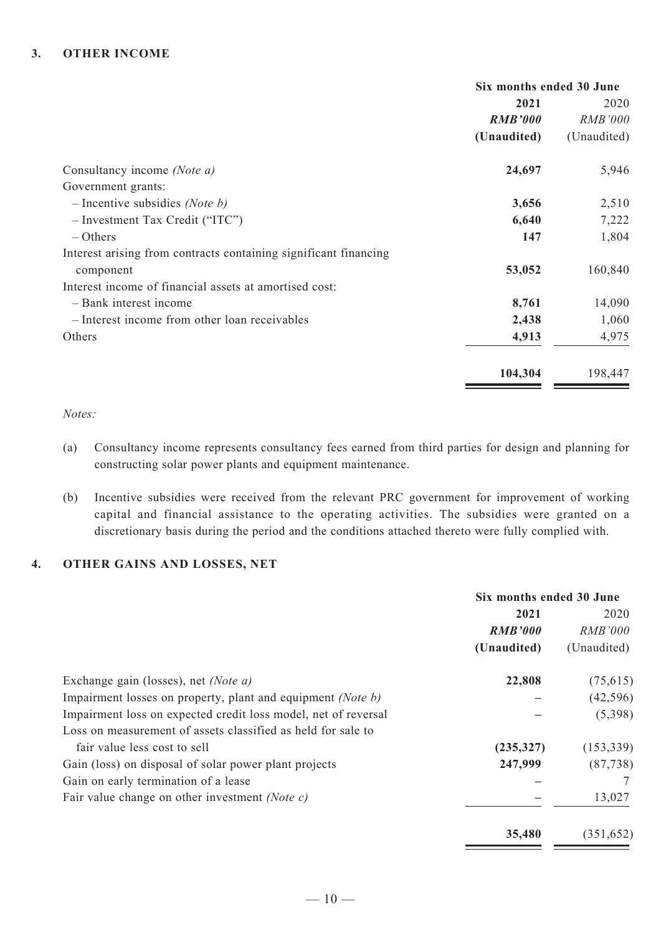#### **3. OTHER INCOME**

|                                                                  | Six months ended 30 June |  |
|------------------------------------------------------------------|--------------------------|--|
| 2021                                                             | 2020                     |  |
| <b>RMB'000</b>                                                   | <b>RMB'000</b>           |  |
| (Unaudited)                                                      | (Unaudited)              |  |
| 24,697<br>Consultancy income (Note a)                            | 5,946                    |  |
| Government grants:                                               |                          |  |
| $-$ Incentive subsidies <i>(Note b)</i><br>3,656                 | 2,510                    |  |
| $-$ Investment Tax Credit ("ITC")<br>6,640                       | 7,222                    |  |
| 147<br>$-$ Others                                                | 1,804                    |  |
| Interest arising from contracts containing significant financing |                          |  |
| 53,052<br>component                                              | 160,840                  |  |
| Interest income of financial assets at amortised cost:           |                          |  |
| - Bank interest income<br>8,761                                  | 14,090                   |  |
| - Interest income from other loan receivables<br>2,438           | 1,060                    |  |
| 4,913<br>Others                                                  | 4,975                    |  |
| 104,304                                                          | 198,447                  |  |

#### *Notes:*

- (a) Consultancy income represents consultancy fees earned from third parties for design and planning for constructing solar power plants and equipment maintenance.
- (b) Incentive subsidies were received from the relevant PRC government for improvement of working capital and financial assistance to the operating activities. The subsidies were granted on a discretionary basis during the period and the conditions attached thereto were fully complied with.

#### **4. OTHER GAINS AND LOSSES, NET**

|                                                                | Six months ended 30 June |                |
|----------------------------------------------------------------|--------------------------|----------------|
|                                                                | 2021                     | 2020           |
|                                                                | <b>RMB'000</b>           | <b>RMB'000</b> |
|                                                                | (Unaudited)              | (Unaudited)    |
| Exchange gain (losses), net (Note a)                           | 22,808                   | (75,615)       |
| Impairment losses on property, plant and equipment (Note b)    |                          | (42, 596)      |
| Impairment loss on expected credit loss model, net of reversal |                          | (5,398)        |
| Loss on measurement of assets classified as held for sale to   |                          |                |
| fair value less cost to sell                                   | (235, 327)               | (153, 339)     |
| Gain (loss) on disposal of solar power plant projects          | 247,999                  | (87, 738)      |
| Gain on early termination of a lease                           |                          |                |
| Fair value change on other investment (Note c)                 |                          | 13,027         |
|                                                                | 35,480                   | (351, 652)     |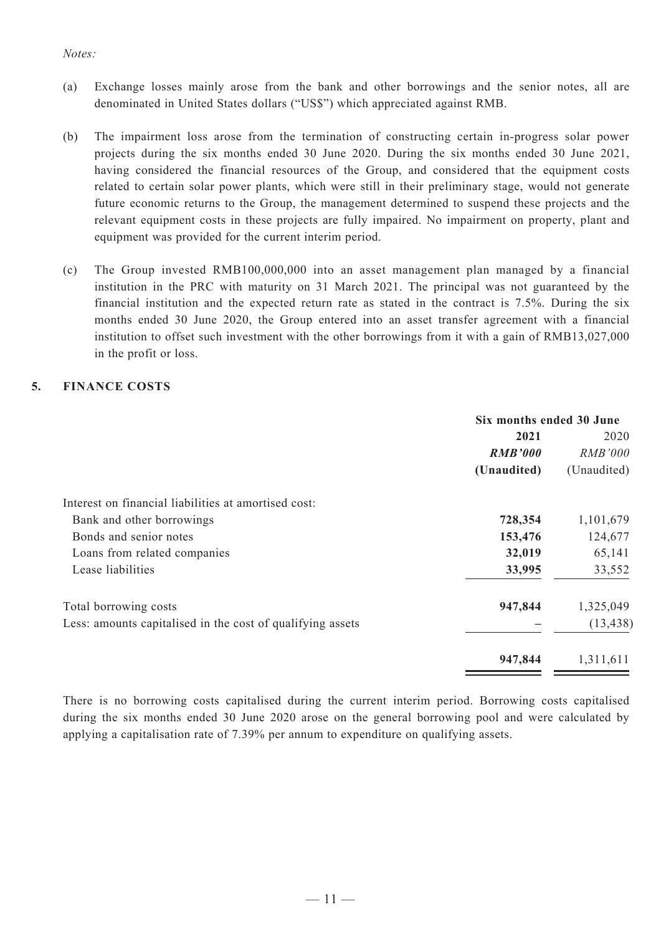#### *Notes:*

- (a) Exchange losses mainly arose from the bank and other borrowings and the senior notes, all are denominated in United States dollars ("US\$") which appreciated against RMB.
- (b) The impairment loss arose from the termination of constructing certain in-progress solar power projects during the six months ended 30 June 2020. During the six months ended 30 June 2021, having considered the financial resources of the Group, and considered that the equipment costs related to certain solar power plants, which were still in their preliminary stage, would not generate future economic returns to the Group, the management determined to suspend these projects and the relevant equipment costs in these projects are fully impaired. No impairment on property, plant and equipment was provided for the current interim period.
- (c) The Group invested RMB100,000,000 into an asset management plan managed by a financial institution in the PRC with maturity on 31 March 2021. The principal was not guaranteed by the financial institution and the expected return rate as stated in the contract is 7.5%. During the six months ended 30 June 2020, the Group entered into an asset transfer agreement with a financial institution to offset such investment with the other borrowings from it with a gain of RMB13,027,000 in the profit or loss.

### **5. FINANCE COSTS**

|                                                            | Six months ended 30 June |                |
|------------------------------------------------------------|--------------------------|----------------|
|                                                            | 2021                     | 2020           |
|                                                            | <b>RMB'000</b>           | <b>RMB'000</b> |
|                                                            | (Unaudited)              | (Unaudited)    |
| Interest on financial liabilities at amortised cost:       |                          |                |
| Bank and other borrowings                                  | 728,354                  | 1,101,679      |
| Bonds and senior notes                                     | 153,476                  | 124,677        |
| Loans from related companies                               | 32,019                   | 65,141         |
| Lease liabilities                                          | 33,995                   | 33,552         |
| Total borrowing costs                                      | 947,844                  | 1,325,049      |
| Less: amounts capitalised in the cost of qualifying assets |                          | (13, 438)      |
|                                                            | 947,844                  | 1,311,611      |

There is no borrowing costs capitalised during the current interim period. Borrowing costs capitalised during the six months ended 30 June 2020 arose on the general borrowing pool and were calculated by applying a capitalisation rate of 7.39% per annum to expenditure on qualifying assets.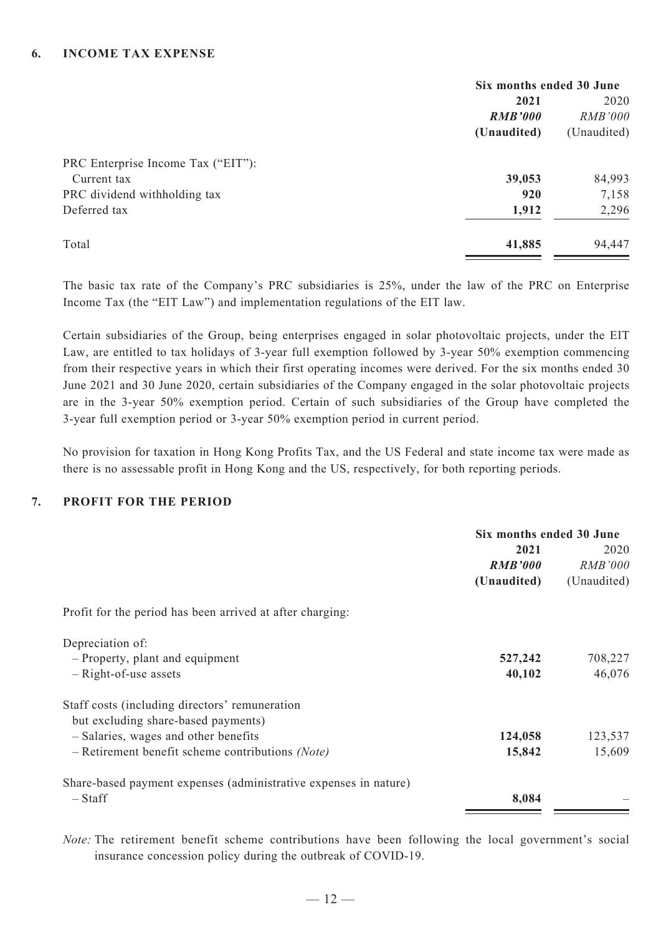|                                    | Six months ended 30 June |                |
|------------------------------------|--------------------------|----------------|
|                                    | 2021                     | 2020           |
|                                    | <b>RMB'000</b>           | <b>RMB'000</b> |
|                                    | (Unaudited)              | (Unaudited)    |
| PRC Enterprise Income Tax ("EIT"): |                          |                |
| Current tax                        | 39,053                   | 84,993         |
| PRC dividend withholding tax       | 920                      | 7,158          |
| Deferred tax                       | 1,912                    | 2,296          |
| Total                              | 41,885                   | 94,447         |

The basic tax rate of the Company's PRC subsidiaries is 25%, under the law of the PRC on Enterprise Income Tax (the "EIT Law") and implementation regulations of the EIT law.

Certain subsidiaries of the Group, being enterprises engaged in solar photovoltaic projects, under the EIT Law, are entitled to tax holidays of 3-year full exemption followed by 3-year 50% exemption commencing from their respective years in which their first operating incomes were derived. For the six months ended 30 June 2021 and 30 June 2020, certain subsidiaries of the Company engaged in the solar photovoltaic projects are in the 3-year 50% exemption period. Certain of such subsidiaries of the Group have completed the 3-year full exemption period or 3-year 50% exemption period in current period.

No provision for taxation in Hong Kong Profits Tax, and the US Federal and state income tax were made as there is no assessable profit in Hong Kong and the US, respectively, for both reporting periods.

#### **7. PROFIT FOR THE PERIOD**

|                                                                  | Six months ended 30 June |                |
|------------------------------------------------------------------|--------------------------|----------------|
|                                                                  | 2021                     | 2020           |
|                                                                  | <b>RMB'000</b>           | <b>RMB'000</b> |
|                                                                  | (Unaudited)              | (Unaudited)    |
| Profit for the period has been arrived at after charging:        |                          |                |
| Depreciation of:                                                 |                          |                |
| - Property, plant and equipment                                  | 527,242                  | 708,227        |
| $-$ Right-of-use assets                                          | 40,102                   | 46,076         |
| Staff costs (including directors' remuneration                   |                          |                |
| but excluding share-based payments)                              |                          |                |
| - Salaries, wages and other benefits                             | 124,058                  | 123,537        |
| - Retirement benefit scheme contributions (Note)                 | 15,842                   | 15,609         |
| Share-based payment expenses (administrative expenses in nature) |                          |                |
| $-$ Staff                                                        | 8,084                    |                |

*Note:* The retirement benefit scheme contributions have been following the local government's social insurance concession policy during the outbreak of COVID-19.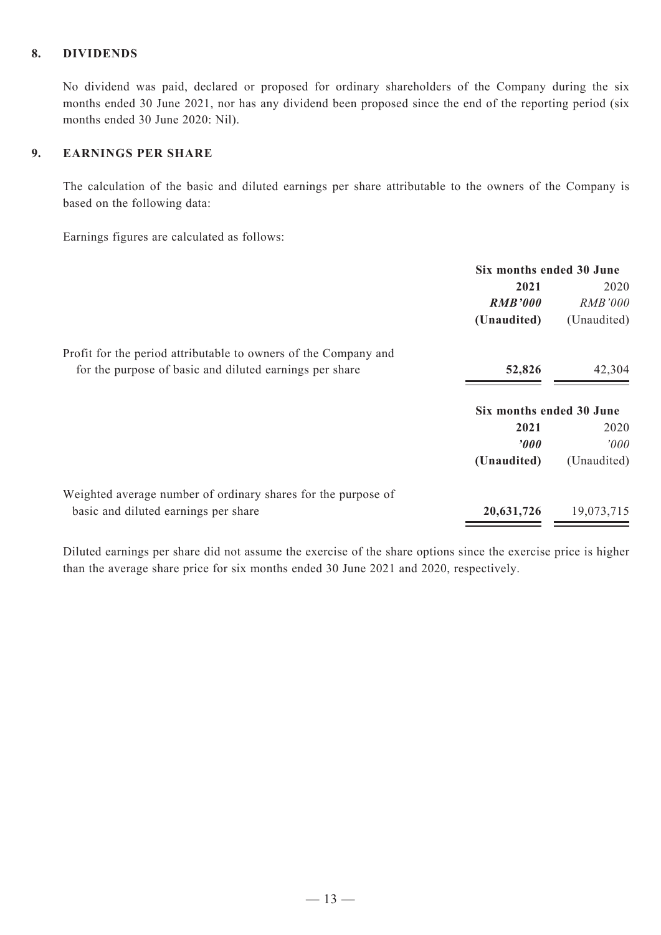#### **8. DIVIDENDS**

No dividend was paid, declared or proposed for ordinary shareholders of the Company during the six months ended 30 June 2021, nor has any dividend been proposed since the end of the reporting period (six months ended 30 June 2020: Nil).

#### **9. EARNINGS PER SHARE**

The calculation of the basic and diluted earnings per share attributable to the owners of the Company is based on the following data:

Earnings figures are calculated as follows:

|                                                                 | Six months ended 30 June |                |
|-----------------------------------------------------------------|--------------------------|----------------|
|                                                                 | 2021                     | 2020           |
|                                                                 | <b>RMB'000</b>           | <b>RMB'000</b> |
|                                                                 | (Unaudited)              | (Unaudited)    |
| Profit for the period attributable to owners of the Company and |                          |                |
| for the purpose of basic and diluted earnings per share         | 52,826                   | 42,304         |
|                                                                 | Six months ended 30 June |                |
|                                                                 | 2021                     | 2020           |
|                                                                 | 2000                     | 2000           |
|                                                                 | (Unaudited)              | (Unaudited)    |
| Weighted average number of ordinary shares for the purpose of   |                          |                |
| basic and diluted earnings per share                            | 20,631,726               | 19,073,715     |
|                                                                 |                          |                |

Diluted earnings per share did not assume the exercise of the share options since the exercise price is higher than the average share price for six months ended 30 June 2021 and 2020, respectively.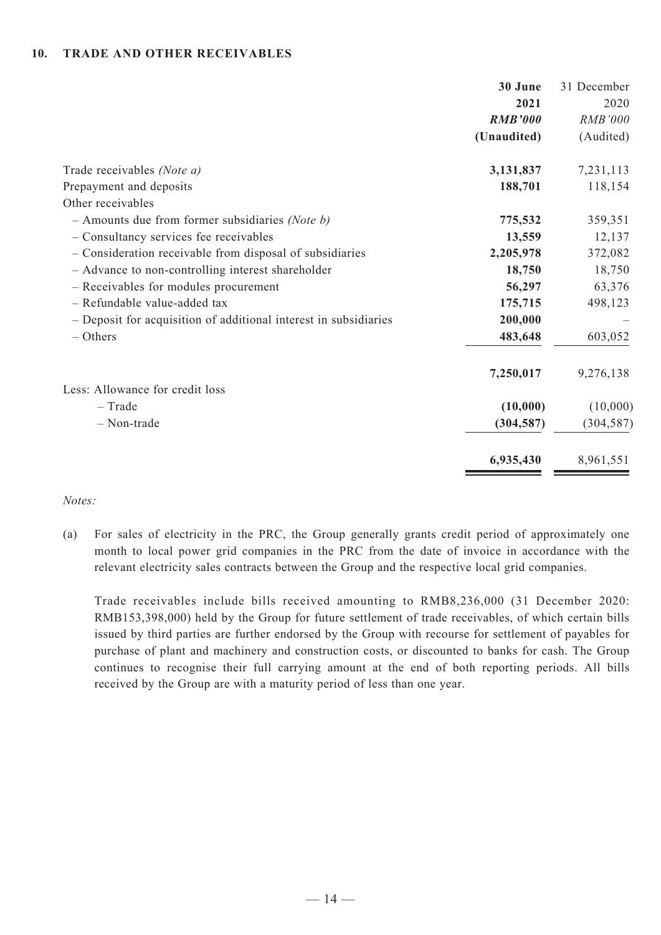#### **10. TRADE AND OTHER RECEIVABLES**

|                                                                  | 30 June        | 31 December    |
|------------------------------------------------------------------|----------------|----------------|
|                                                                  | 2021           | 2020           |
|                                                                  | <b>RMB'000</b> | <b>RMB'000</b> |
|                                                                  | (Unaudited)    | (Audited)      |
| Trade receivables (Note a)                                       | 3,131,837      | 7,231,113      |
| Prepayment and deposits                                          | 188,701        | 118,154        |
| Other receivables                                                |                |                |
| $-$ Amounts due from former subsidiaries (Note b)                | 775,532        | 359,351        |
| - Consultancy services fee receivables                           | 13,559         | 12,137         |
| - Consideration receivable from disposal of subsidiaries         | 2,205,978      | 372,082        |
| - Advance to non-controlling interest shareholder                | 18,750         | 18,750         |
| - Receivables for modules procurement                            | 56,297         | 63,376         |
| - Refundable value-added tax                                     | 175,715        | 498,123        |
| - Deposit for acquisition of additional interest in subsidiaries | 200,000        |                |
| $-$ Others                                                       | 483,648        | 603,052        |
|                                                                  | 7,250,017      | 9,276,138      |
| Less: Allowance for credit loss                                  |                |                |
| $-$ Trade                                                        | (10,000)       | (10,000)       |
| $-$ Non-trade                                                    | (304, 587)     | (304, 587)     |
|                                                                  | 6,935,430      | 8,961,551      |

#### *Notes:*

(a) For sales of electricity in the PRC, the Group generally grants credit period of approximately one month to local power grid companies in the PRC from the date of invoice in accordance with the relevant electricity sales contracts between the Group and the respective local grid companies.

Trade receivables include bills received amounting to RMB8,236,000 (31 December 2020: RMB153,398,000) held by the Group for future settlement of trade receivables, of which certain bills issued by third parties are further endorsed by the Group with recourse for settlement of payables for purchase of plant and machinery and construction costs, or discounted to banks for cash. The Group continues to recognise their full carrying amount at the end of both reporting periods. All bills received by the Group are with a maturity period of less than one year.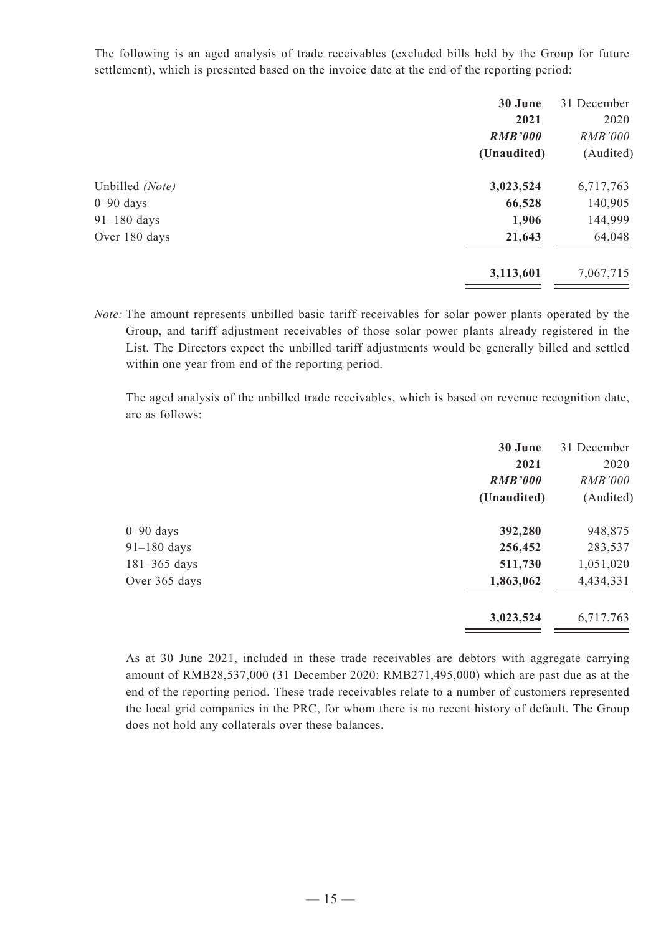The following is an aged analysis of trade receivables (excluded bills held by the Group for future settlement), which is presented based on the invoice date at the end of the reporting period:

|                                | 30 June<br>2021               | 31 December<br>2020         |
|--------------------------------|-------------------------------|-----------------------------|
|                                | <b>RMB'000</b><br>(Unaudited) | <b>RMB'000</b><br>(Audited) |
| Unbilled (Note)                | 3,023,524                     | 6,717,763                   |
| $0 - 90$ days                  | 66,528                        | 140,905                     |
| $91-180$ days<br>Over 180 days | 1,906<br>21,643               | 144,999<br>64,048           |
|                                | 3,113,601                     | 7,067,715                   |

*Note:* The amount represents unbilled basic tariff receivables for solar power plants operated by the Group, and tariff adjustment receivables of those solar power plants already registered in the List. The Directors expect the unbilled tariff adjustments would be generally billed and settled within one year from end of the reporting period.

The aged analysis of the unbilled trade receivables, which is based on revenue recognition date, are as follows:

| 30 June        | 31 December    |
|----------------|----------------|
| 2021           | 2020           |
| <b>RMB'000</b> | <i>RMB'000</i> |
| (Unaudited)    | (Audited)      |
| 392,280        | 948,875        |
| 256,452        | 283,537        |
| 511,730        | 1,051,020      |
| 1,863,062      | 4,434,331      |
| 3,023,524      | 6,717,763      |
|                |                |

As at 30 June 2021, included in these trade receivables are debtors with aggregate carrying amount of RMB28,537,000 (31 December 2020: RMB271,495,000) which are past due as at the end of the reporting period. These trade receivables relate to a number of customers represented the local grid companies in the PRC, for whom there is no recent history of default. The Group does not hold any collaterals over these balances.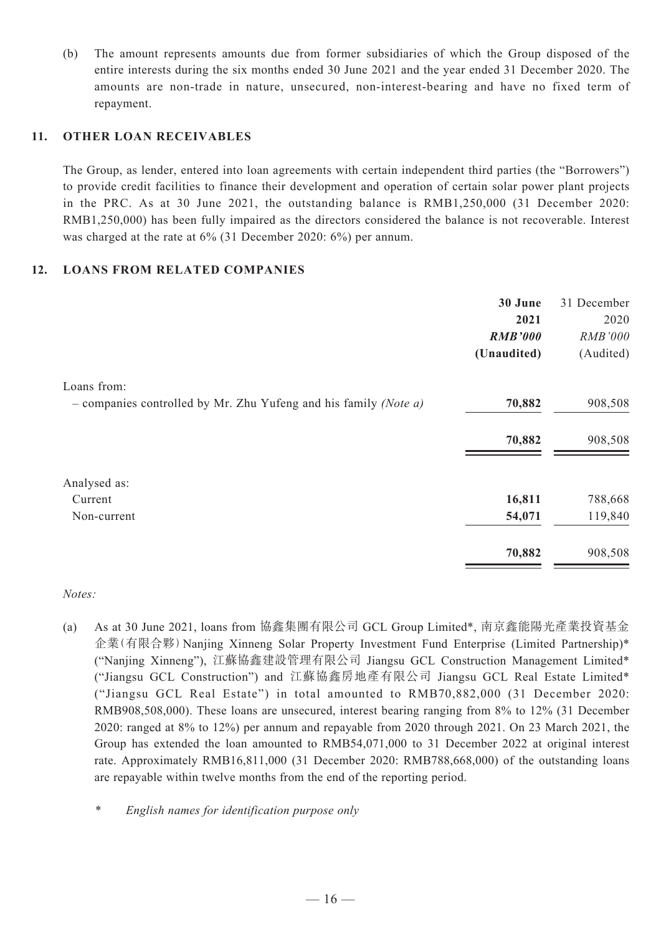(b) The amount represents amounts due from former subsidiaries of which the Group disposed of the entire interests during the six months ended 30 June 2021 and the year ended 31 December 2020. The amounts are non-trade in nature, unsecured, non-interest-bearing and have no fixed term of repayment.

#### **11. OTHER LOAN RECEIVABLES**

The Group, as lender, entered into loan agreements with certain independent third parties (the "Borrowers") to provide credit facilities to finance their development and operation of certain solar power plant projects in the PRC. As at 30 June 2021, the outstanding balance is RMB1,250,000 (31 December 2020: RMB1,250,000) has been fully impaired as the directors considered the balance is not recoverable. Interest was charged at the rate at 6% (31 December 2020: 6%) per annum.

#### **12. LOANS FROM RELATED COMPANIES**

|                                                                     | 30 June<br>2021<br><b>RMB'000</b><br>(Unaudited) | 31 December<br>2020<br><b>RMB'000</b><br>(Audited) |
|---------------------------------------------------------------------|--------------------------------------------------|----------------------------------------------------|
| Loans from:                                                         |                                                  |                                                    |
| - companies controlled by Mr. Zhu Yufeng and his family (Note $a$ ) | 70,882                                           | 908,508                                            |
|                                                                     | 70,882                                           | 908,508                                            |
| Analysed as:                                                        |                                                  |                                                    |
| Current                                                             | 16,811                                           | 788,668                                            |
| Non-current                                                         | 54,071                                           | 119,840                                            |
|                                                                     | 70,882                                           | 908,508                                            |

*Notes:*

- (a) As at 30 June 2021, loans from 協鑫集團有限公司 GCL Group Limited\*, 南京鑫能陽光產業投資基金 企業(有限合夥)Nanjing Xinneng Solar Property Investment Fund Enterprise (Limited Partnership)\* ("Nanjing Xinneng"), 江蘇協鑫建設管理有限公司 Jiangsu GCL Construction Management Limited\* ("Jiangsu GCL Construction") and 江蘇協鑫房地產有限公司 Jiangsu GCL Real Estate Limited\* ("Jiangsu GCL Real Estate") in total amounted to RMB70,882,000 (31 December 2020: RMB908,508,000). These loans are unsecured, interest bearing ranging from 8% to 12% (31 December 2020: ranged at 8% to 12%) per annum and repayable from 2020 through 2021. On 23 March 2021, the Group has extended the loan amounted to RMB54,071,000 to 31 December 2022 at original interest rate. Approximately RMB16,811,000 (31 December 2020: RMB788,668,000) of the outstanding loans are repayable within twelve months from the end of the reporting period.
	- *\* English names for identification purpose only*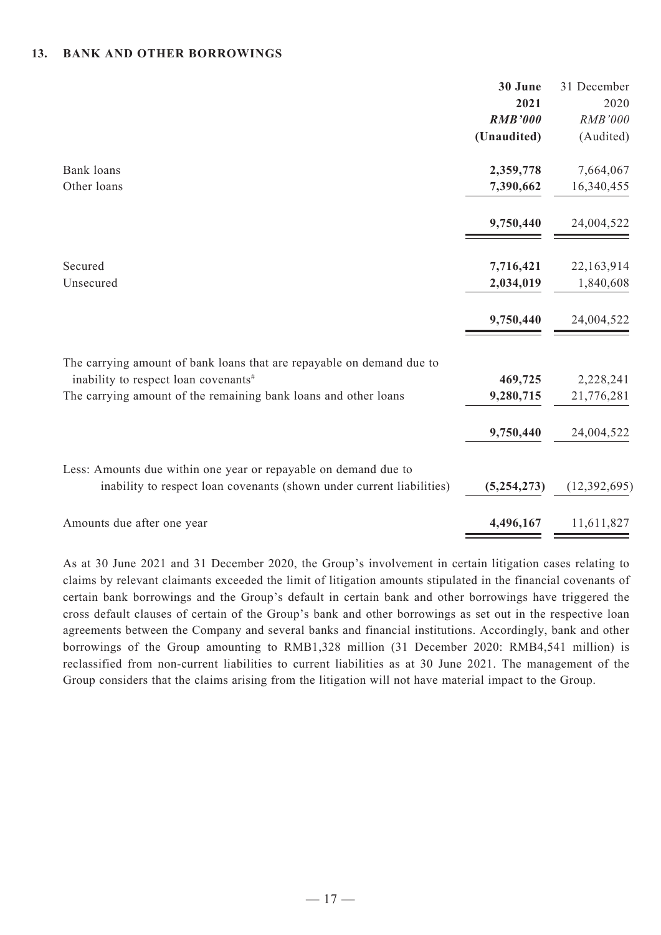#### **13. BANK AND OTHER BORROWINGS**

|                                                                       | 30 June        | 31 December    |
|-----------------------------------------------------------------------|----------------|----------------|
|                                                                       | 2021           | 2020           |
|                                                                       | <b>RMB'000</b> | <b>RMB'000</b> |
|                                                                       | (Unaudited)    | (Audited)      |
| Bank loans                                                            | 2,359,778      | 7,664,067      |
| Other loans                                                           | 7,390,662      | 16,340,455     |
|                                                                       | 9,750,440      | 24,004,522     |
| Secured                                                               | 7,716,421      | 22,163,914     |
| Unsecured                                                             | 2,034,019      | 1,840,608      |
|                                                                       | 9,750,440      | 24,004,522     |
| The carrying amount of bank loans that are repayable on demand due to |                |                |
| inability to respect loan covenants <sup>#</sup>                      | 469,725        | 2,228,241      |
| The carrying amount of the remaining bank loans and other loans       | 9,280,715      | 21,776,281     |
|                                                                       | 9,750,440      | 24,004,522     |
| Less: Amounts due within one year or repayable on demand due to       |                |                |
| inability to respect loan covenants (shown under current liabilities) | (5,254,273)    | (12, 392, 695) |
| Amounts due after one year                                            | 4,496,167      | 11,611,827     |

As at 30 June 2021 and 31 December 2020, the Group's involvement in certain litigation cases relating to claims by relevant claimants exceeded the limit of litigation amounts stipulated in the financial covenants of certain bank borrowings and the Group's default in certain bank and other borrowings have triggered the cross default clauses of certain of the Group's bank and other borrowings as set out in the respective loan agreements between the Company and several banks and financial institutions. Accordingly, bank and other borrowings of the Group amounting to RMB1,328 million (31 December 2020: RMB4,541 million) is reclassified from non-current liabilities to current liabilities as at 30 June 2021. The management of the Group considers that the claims arising from the litigation will not have material impact to the Group.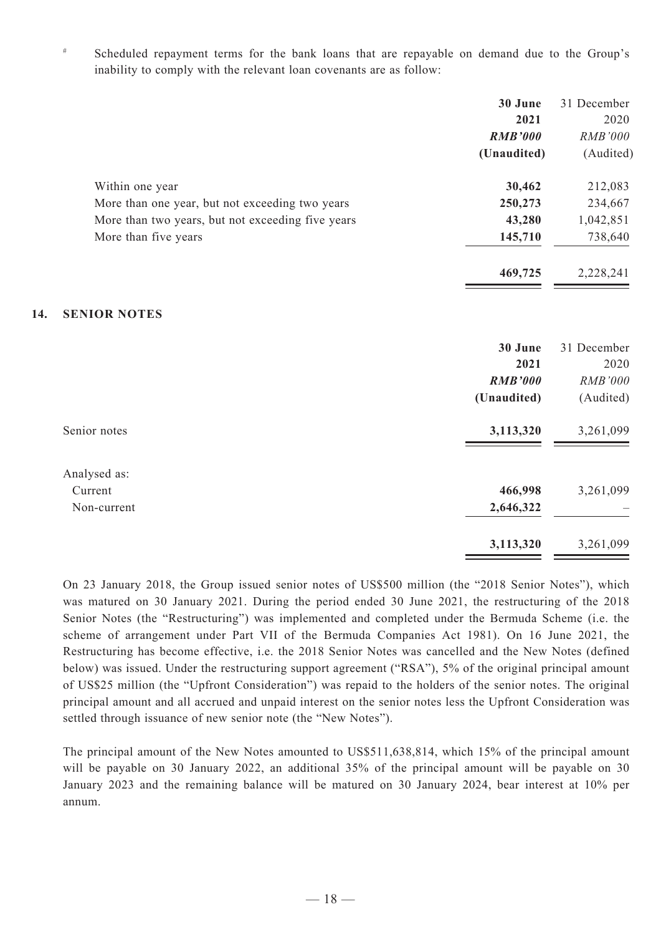# Scheduled repayment terms for the bank loans that are repayable on demand due to the Group's inability to comply with the relevant loan covenants are as follow:

|     |                                                   | 30 June        | 31 December |
|-----|---------------------------------------------------|----------------|-------------|
|     |                                                   | 2021           | 2020        |
|     |                                                   | <b>RMB'000</b> | RMB'000     |
|     |                                                   | (Unaudited)    | (Audited)   |
|     | Within one year                                   | 30,462         | 212,083     |
|     | More than one year, but not exceeding two years   | 250,273        | 234,667     |
|     | More than two years, but not exceeding five years | 43,280         | 1,042,851   |
|     | More than five years                              | 145,710        | 738,640     |
|     |                                                   | 469,725        | 2,228,241   |
| 14. | <b>SENIOR NOTES</b>                               |                |             |
|     |                                                   | 30 June        | 31 December |
|     |                                                   | 2021           | 2020        |
|     |                                                   | <b>RMB'000</b> | RMB'000     |
|     |                                                   | (Unaudited)    | (Audited)   |
|     | Senior notes                                      | 3,113,320      | 3,261,099   |
|     | Analysed as:                                      |                |             |
|     | Current                                           | 466,998        | 3,261,099   |
|     | Non-current                                       | 2,646,322      |             |
|     |                                                   | 3,113,320      | 3,261,099   |

On 23 January 2018, the Group issued senior notes of US\$500 million (the "2018 Senior Notes"), which was matured on 30 January 2021. During the period ended 30 June 2021, the restructuring of the 2018 Senior Notes (the "Restructuring") was implemented and completed under the Bermuda Scheme (i.e. the scheme of arrangement under Part VII of the Bermuda Companies Act 1981). On 16 June 2021, the Restructuring has become effective, i.e. the 2018 Senior Notes was cancelled and the New Notes (defined below) was issued. Under the restructuring support agreement ("RSA"), 5% of the original principal amount of US\$25 million (the "Upfront Consideration") was repaid to the holders of the senior notes. The original principal amount and all accrued and unpaid interest on the senior notes less the Upfront Consideration was settled through issuance of new senior note (the "New Notes").

The principal amount of the New Notes amounted to US\$511,638,814, which 15% of the principal amount will be payable on 30 January 2022, an additional 35% of the principal amount will be payable on 30 January 2023 and the remaining balance will be matured on 30 January 2024, bear interest at 10% per annum.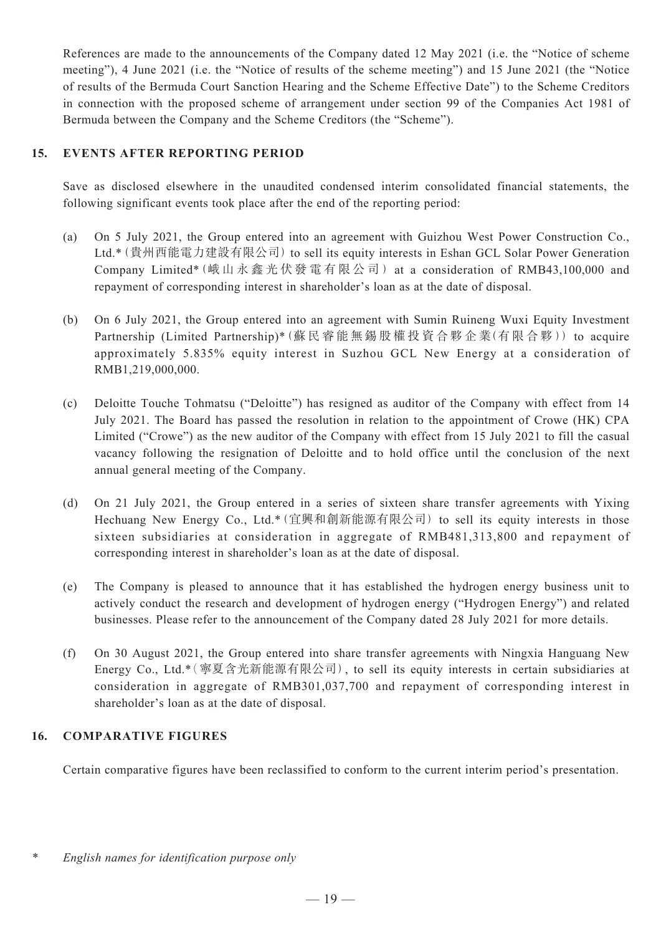References are made to the announcements of the Company dated 12 May 2021 (i.e. the "Notice of scheme meeting"), 4 June 2021 (i.e. the "Notice of results of the scheme meeting") and 15 June 2021 (the "Notice of results of the Bermuda Court Sanction Hearing and the Scheme Effective Date") to the Scheme Creditors in connection with the proposed scheme of arrangement under section 99 of the Companies Act 1981 of Bermuda between the Company and the Scheme Creditors (the "Scheme").

#### **15. EVENTS AFTER REPORTING PERIOD**

Save as disclosed elsewhere in the unaudited condensed interim consolidated financial statements, the following significant events took place after the end of the reporting period:

- (a) On 5 July 2021, the Group entered into an agreement with Guizhou West Power Construction Co., Ltd.\*(貴州西能電力建設有限公司) to sell its equity interests in Eshan GCL Solar Power Generation Company Limited\*(峨山永鑫光伏發電有限公司) at a consideration of RMB43,100,000 and repayment of corresponding interest in shareholder's loan as at the date of disposal.
- (b) On 6 July 2021, the Group entered into an agreement with Sumin Ruineng Wuxi Equity Investment Partnership (Limited Partnership)\* (蘇民睿能無錫股權投資合夥企業(有限合夥)) to acquire approximately 5.835% equity interest in Suzhou GCL New Energy at a consideration of RMB1,219,000,000.
- (c) Deloitte Touche Tohmatsu ("Deloitte") has resigned as auditor of the Company with effect from 14 July 2021. The Board has passed the resolution in relation to the appointment of Crowe (HK) CPA Limited ("Crowe") as the new auditor of the Company with effect from 15 July 2021 to fill the casual vacancy following the resignation of Deloitte and to hold office until the conclusion of the next annual general meeting of the Company.
- (d) On 21 July 2021, the Group entered in a series of sixteen share transfer agreements with Yixing Hechuang New Energy Co., Ltd.\*(宜興和創新能源有限公司) to sell its equity interests in those sixteen subsidiaries at consideration in aggregate of RMB481,313,800 and repayment of corresponding interest in shareholder's loan as at the date of disposal.
- (e) The Company is pleased to announce that it has established the hydrogen energy business unit to actively conduct the research and development of hydrogen energy ("Hydrogen Energy") and related businesses. Please refer to the announcement of the Company dated 28 July 2021 for more details.
- (f) On 30 August 2021, the Group entered into share transfer agreements with Ningxia Hanguang New Energy Co., Ltd.\*(寧夏含光新能源有限公司), to sell its equity interests in certain subsidiaries at consideration in aggregate of RMB301,037,700 and repayment of corresponding interest in shareholder's loan as at the date of disposal.

### **16. COMPARATIVE FIGURES**

Certain comparative figures have been reclassified to conform to the current interim period's presentation.

*\* English names for identification purpose only*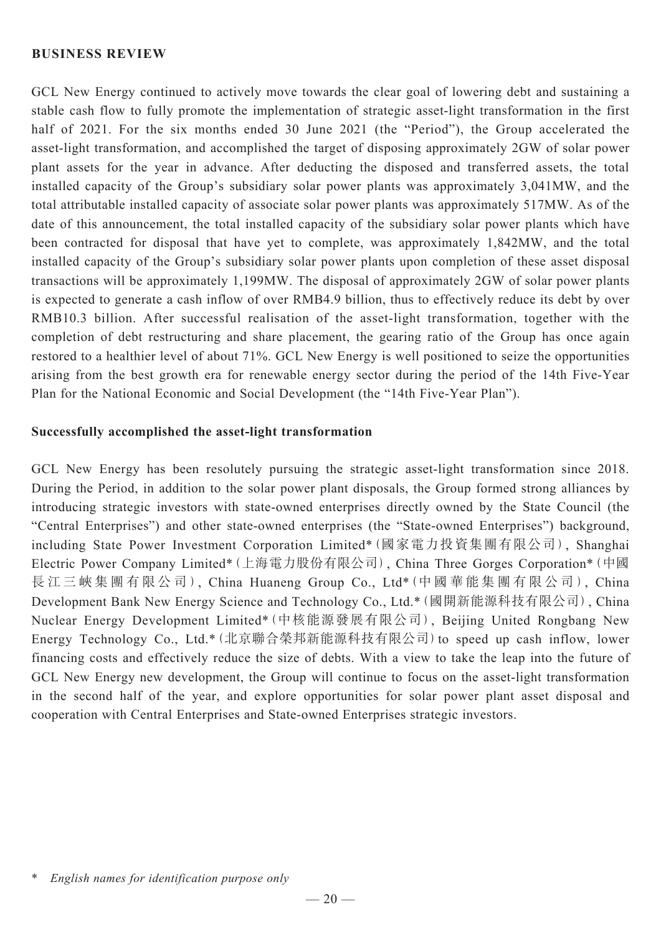#### **BUSINESS REVIEW**

GCL New Energy continued to actively move towards the clear goal of lowering debt and sustaining a stable cash flow to fully promote the implementation of strategic asset-light transformation in the first half of 2021. For the six months ended 30 June 2021 (the "Period"), the Group accelerated the asset-light transformation, and accomplished the target of disposing approximately 2GW of solar power plant assets for the year in advance. After deducting the disposed and transferred assets, the total installed capacity of the Group's subsidiary solar power plants was approximately 3,041MW, and the total attributable installed capacity of associate solar power plants was approximately 517MW. As of the date of this announcement, the total installed capacity of the subsidiary solar power plants which have been contracted for disposal that have yet to complete, was approximately 1,842MW, and the total installed capacity of the Group's subsidiary solar power plants upon completion of these asset disposal transactions will be approximately 1,199MW. The disposal of approximately 2GW of solar power plants is expected to generate a cash inflow of over RMB4.9 billion, thus to effectively reduce its debt by over RMB10.3 billion. After successful realisation of the asset-light transformation, together with the completion of debt restructuring and share placement, the gearing ratio of the Group has once again restored to a healthier level of about 71%. GCL New Energy is well positioned to seize the opportunities arising from the best growth era for renewable energy sector during the period of the 14th Five-Year Plan for the National Economic and Social Development (the "14th Five-Year Plan").

#### **Successfully accomplished the asset-light transformation**

GCL New Energy has been resolutely pursuing the strategic asset-light transformation since 2018. During the Period, in addition to the solar power plant disposals, the Group formed strong alliances by introducing strategic investors with state-owned enterprises directly owned by the State Council (the "Central Enterprises") and other state-owned enterprises (the "State-owned Enterprises") background, including State Power Investment Corporation Limited\*(國家電力投資集團有限公司), Shanghai Electric Power Company Limited\*(上海電力股份有限公司), China Three Gorges Corporation\*(中國 長江三峽集團有限公司), China Huaneng Group Co., Ltd\*(中國華能集團有限公司), China Development Bank New Energy Science and Technology Co., Ltd.\*(國開新能源科技有限公司), China Nuclear Energy Development Limited\*(中核能源發展有限公司), Beijing United Rongbang New Energy Technology Co., Ltd.\*(北京聯合榮邦新能源科技有限公司)to speed up cash inflow, lower financing costs and effectively reduce the size of debts. With a view to take the leap into the future of GCL New Energy new development, the Group will continue to focus on the asset-light transformation in the second half of the year, and explore opportunities for solar power plant asset disposal and cooperation with Central Enterprises and State-owned Enterprises strategic investors.

<sup>\*</sup> *English names for identification purpose only*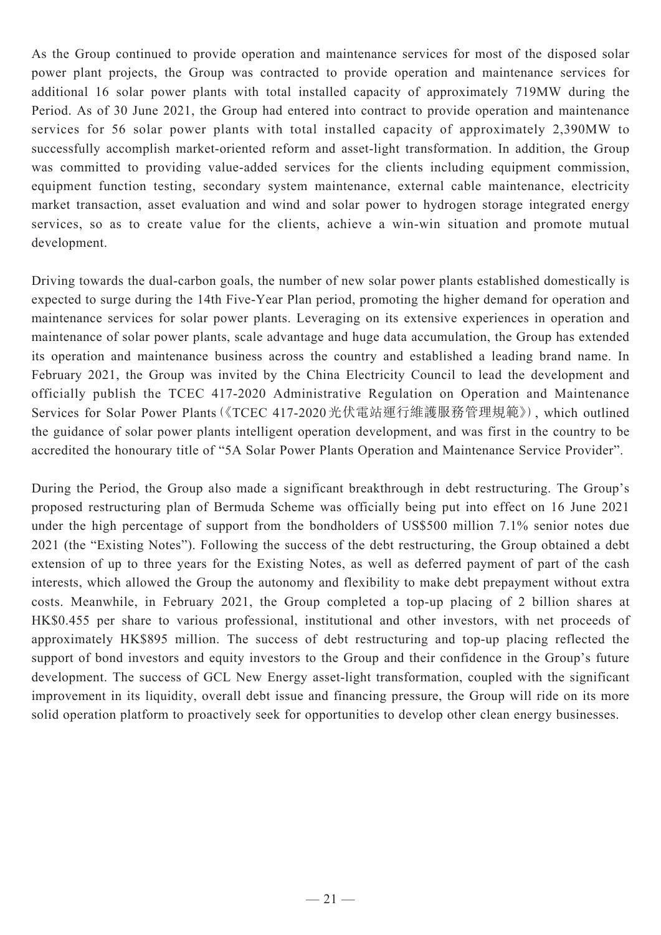As the Group continued to provide operation and maintenance services for most of the disposed solar power plant projects, the Group was contracted to provide operation and maintenance services for additional 16 solar power plants with total installed capacity of approximately 719MW during the Period. As of 30 June 2021, the Group had entered into contract to provide operation and maintenance services for 56 solar power plants with total installed capacity of approximately 2,390MW to successfully accomplish market-oriented reform and asset-light transformation. In addition, the Group was committed to providing value-added services for the clients including equipment commission, equipment function testing, secondary system maintenance, external cable maintenance, electricity market transaction, asset evaluation and wind and solar power to hydrogen storage integrated energy services, so as to create value for the clients, achieve a win-win situation and promote mutual development.

Driving towards the dual-carbon goals, the number of new solar power plants established domestically is expected to surge during the 14th Five-Year Plan period, promoting the higher demand for operation and maintenance services for solar power plants. Leveraging on its extensive experiences in operation and maintenance of solar power plants, scale advantage and huge data accumulation, the Group has extended its operation and maintenance business across the country and established a leading brand name. In February 2021, the Group was invited by the China Electricity Council to lead the development and officially publish the TCEC 417-2020 Administrative Regulation on Operation and Maintenance Services for Solar Power Plants(《TCEC 417-2020光伏電站運行維護服務管理規範》), which outlined the guidance of solar power plants intelligent operation development, and was first in the country to be accredited the honourary title of "5A Solar Power Plants Operation and Maintenance Service Provider".

During the Period, the Group also made a significant breakthrough in debt restructuring. The Group's proposed restructuring plan of Bermuda Scheme was officially being put into effect on 16 June 2021 under the high percentage of support from the bondholders of US\$500 million 7.1% senior notes due 2021 (the "Existing Notes"). Following the success of the debt restructuring, the Group obtained a debt extension of up to three years for the Existing Notes, as well as deferred payment of part of the cash interests, which allowed the Group the autonomy and flexibility to make debt prepayment without extra costs. Meanwhile, in February 2021, the Group completed a top-up placing of 2 billion shares at HK\$0.455 per share to various professional, institutional and other investors, with net proceeds of approximately HK\$895 million. The success of debt restructuring and top-up placing reflected the support of bond investors and equity investors to the Group and their confidence in the Group's future development. The success of GCL New Energy asset-light transformation, coupled with the significant improvement in its liquidity, overall debt issue and financing pressure, the Group will ride on its more solid operation platform to proactively seek for opportunities to develop other clean energy businesses.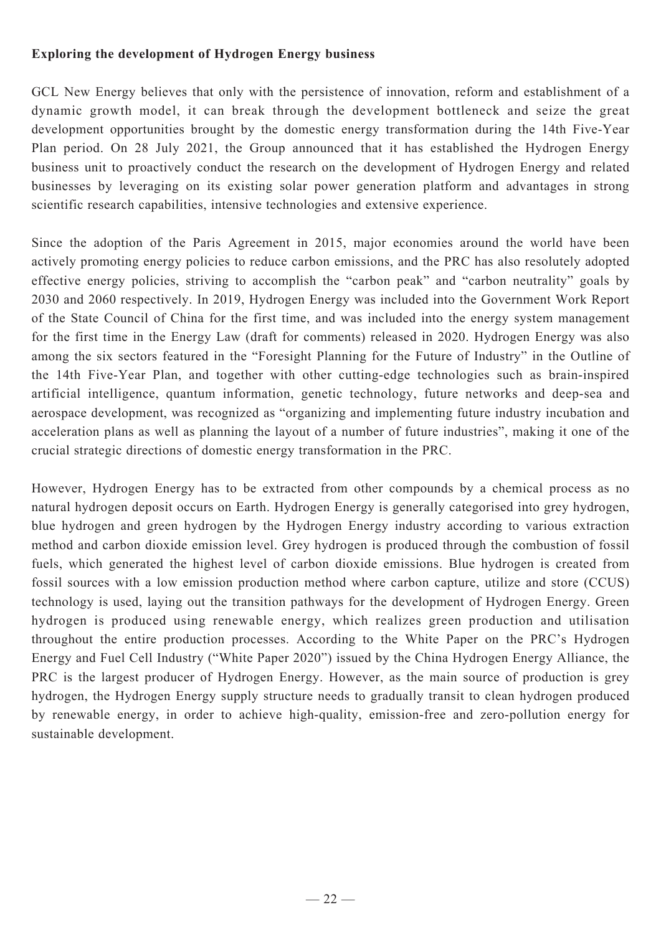## **Exploring the development of Hydrogen Energy business**

GCL New Energy believes that only with the persistence of innovation, reform and establishment of a dynamic growth model, it can break through the development bottleneck and seize the great development opportunities brought by the domestic energy transformation during the 14th Five-Year Plan period. On 28 July 2021, the Group announced that it has established the Hydrogen Energy business unit to proactively conduct the research on the development of Hydrogen Energy and related businesses by leveraging on its existing solar power generation platform and advantages in strong scientific research capabilities, intensive technologies and extensive experience.

Since the adoption of the Paris Agreement in 2015, major economies around the world have been actively promoting energy policies to reduce carbon emissions, and the PRC has also resolutely adopted effective energy policies, striving to accomplish the "carbon peak" and "carbon neutrality" goals by 2030 and 2060 respectively. In 2019, Hydrogen Energy was included into the Government Work Report of the State Council of China for the first time, and was included into the energy system management for the first time in the Energy Law (draft for comments) released in 2020. Hydrogen Energy was also among the six sectors featured in the "Foresight Planning for the Future of Industry" in the Outline of the 14th Five-Year Plan, and together with other cutting-edge technologies such as brain-inspired artificial intelligence, quantum information, genetic technology, future networks and deep-sea and aerospace development, was recognized as "organizing and implementing future industry incubation and acceleration plans as well as planning the layout of a number of future industries", making it one of the crucial strategic directions of domestic energy transformation in the PRC.

However, Hydrogen Energy has to be extracted from other compounds by a chemical process as no natural hydrogen deposit occurs on Earth. Hydrogen Energy is generally categorised into grey hydrogen, blue hydrogen and green hydrogen by the Hydrogen Energy industry according to various extraction method and carbon dioxide emission level. Grey hydrogen is produced through the combustion of fossil fuels, which generated the highest level of carbon dioxide emissions. Blue hydrogen is created from fossil sources with a low emission production method where carbon capture, utilize and store (CCUS) technology is used, laying out the transition pathways for the development of Hydrogen Energy. Green hydrogen is produced using renewable energy, which realizes green production and utilisation throughout the entire production processes. According to the White Paper on the PRC's Hydrogen Energy and Fuel Cell Industry ("White Paper 2020") issued by the China Hydrogen Energy Alliance, the PRC is the largest producer of Hydrogen Energy. However, as the main source of production is grey hydrogen, the Hydrogen Energy supply structure needs to gradually transit to clean hydrogen produced by renewable energy, in order to achieve high-quality, emission-free and zero-pollution energy for sustainable development.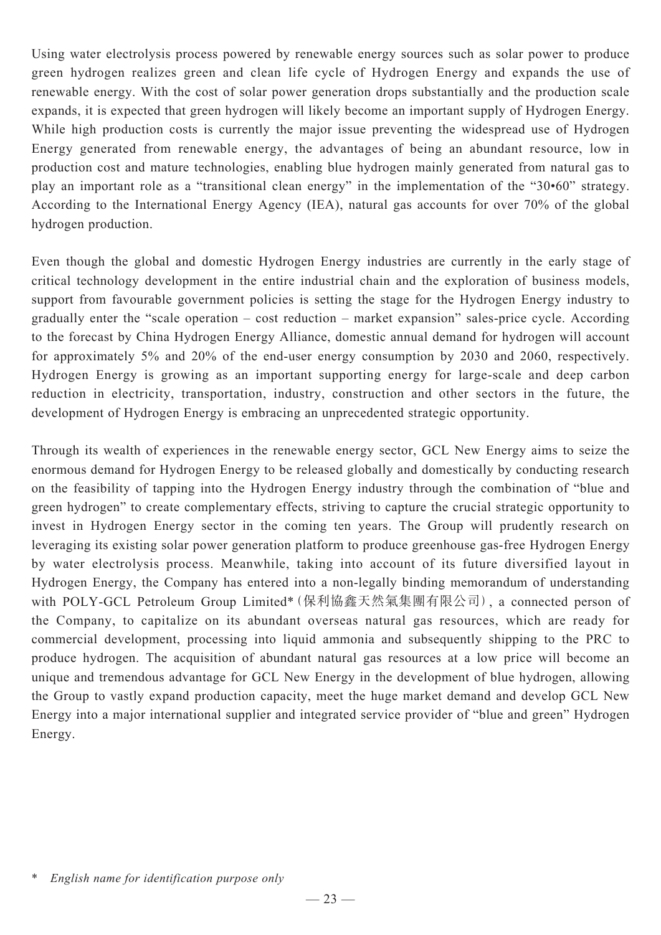Using water electrolysis process powered by renewable energy sources such as solar power to produce green hydrogen realizes green and clean life cycle of Hydrogen Energy and expands the use of renewable energy. With the cost of solar power generation drops substantially and the production scale expands, it is expected that green hydrogen will likely become an important supply of Hydrogen Energy. While high production costs is currently the major issue preventing the widespread use of Hydrogen Energy generated from renewable energy, the advantages of being an abundant resource, low in production cost and mature technologies, enabling blue hydrogen mainly generated from natural gas to play an important role as a "transitional clean energy" in the implementation of the "30•60" strategy. According to the International Energy Agency (IEA), natural gas accounts for over 70% of the global hydrogen production.

Even though the global and domestic Hydrogen Energy industries are currently in the early stage of critical technology development in the entire industrial chain and the exploration of business models, support from favourable government policies is setting the stage for the Hydrogen Energy industry to gradually enter the "scale operation – cost reduction – market expansion" sales-price cycle. According to the forecast by China Hydrogen Energy Alliance, domestic annual demand for hydrogen will account for approximately 5% and 20% of the end-user energy consumption by 2030 and 2060, respectively. Hydrogen Energy is growing as an important supporting energy for large-scale and deep carbon reduction in electricity, transportation, industry, construction and other sectors in the future, the development of Hydrogen Energy is embracing an unprecedented strategic opportunity.

Through its wealth of experiences in the renewable energy sector, GCL New Energy aims to seize the enormous demand for Hydrogen Energy to be released globally and domestically by conducting research on the feasibility of tapping into the Hydrogen Energy industry through the combination of "blue and green hydrogen" to create complementary effects, striving to capture the crucial strategic opportunity to invest in Hydrogen Energy sector in the coming ten years. The Group will prudently research on leveraging its existing solar power generation platform to produce greenhouse gas-free Hydrogen Energy by water electrolysis process. Meanwhile, taking into account of its future diversified layout in Hydrogen Energy, the Company has entered into a non-legally binding memorandum of understanding with POLY-GCL Petroleum Group Limited\*(保利協鑫天然氣集團有限公司), a connected person of the Company, to capitalize on its abundant overseas natural gas resources, which are ready for commercial development, processing into liquid ammonia and subsequently shipping to the PRC to produce hydrogen. The acquisition of abundant natural gas resources at a low price will become an unique and tremendous advantage for GCL New Energy in the development of blue hydrogen, allowing the Group to vastly expand production capacity, meet the huge market demand and develop GCL New Energy into a major international supplier and integrated service provider of "blue and green" Hydrogen Energy.

<sup>\*</sup> *English name for identification purpose only*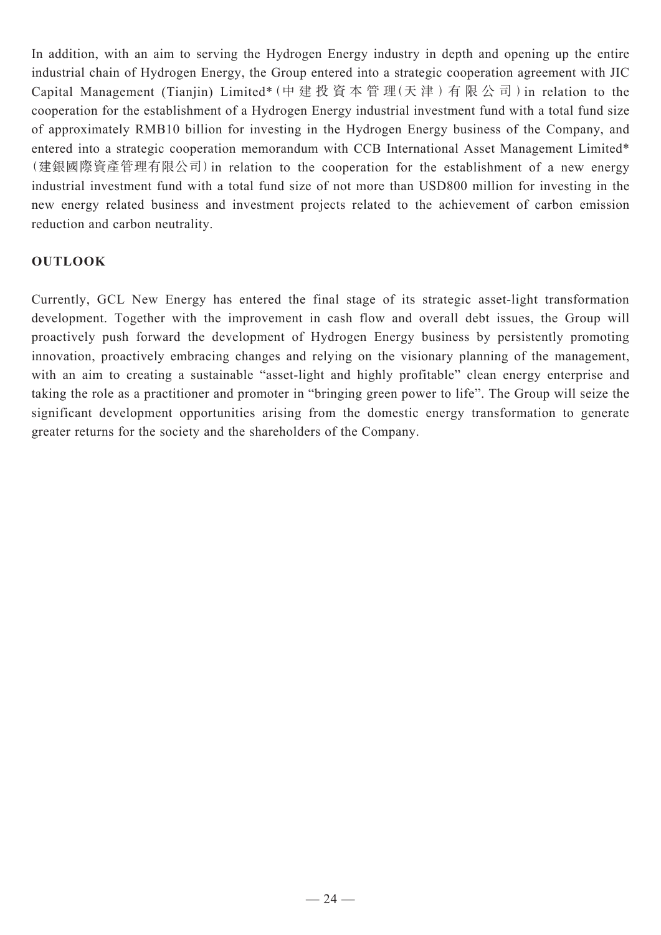In addition, with an aim to serving the Hydrogen Energy industry in depth and opening up the entire industrial chain of Hydrogen Energy, the Group entered into a strategic cooperation agreement with JIC Capital Management (Tianiin) Limited\* (中建投資本管理(天津) 有限公司) in relation to the cooperation for the establishment of a Hydrogen Energy industrial investment fund with a total fund size of approximately RMB10 billion for investing in the Hydrogen Energy business of the Company, and entered into a strategic cooperation memorandum with CCB International Asset Management Limited\* (建銀國際資產管理有限公司)in relation to the cooperation for the establishment of a new energy industrial investment fund with a total fund size of not more than USD800 million for investing in the new energy related business and investment projects related to the achievement of carbon emission reduction and carbon neutrality.

# **OUTLOOK**

Currently, GCL New Energy has entered the final stage of its strategic asset-light transformation development. Together with the improvement in cash flow and overall debt issues, the Group will proactively push forward the development of Hydrogen Energy business by persistently promoting innovation, proactively embracing changes and relying on the visionary planning of the management, with an aim to creating a sustainable "asset-light and highly profitable" clean energy enterprise and taking the role as a practitioner and promoter in "bringing green power to life". The Group will seize the significant development opportunities arising from the domestic energy transformation to generate greater returns for the society and the shareholders of the Company.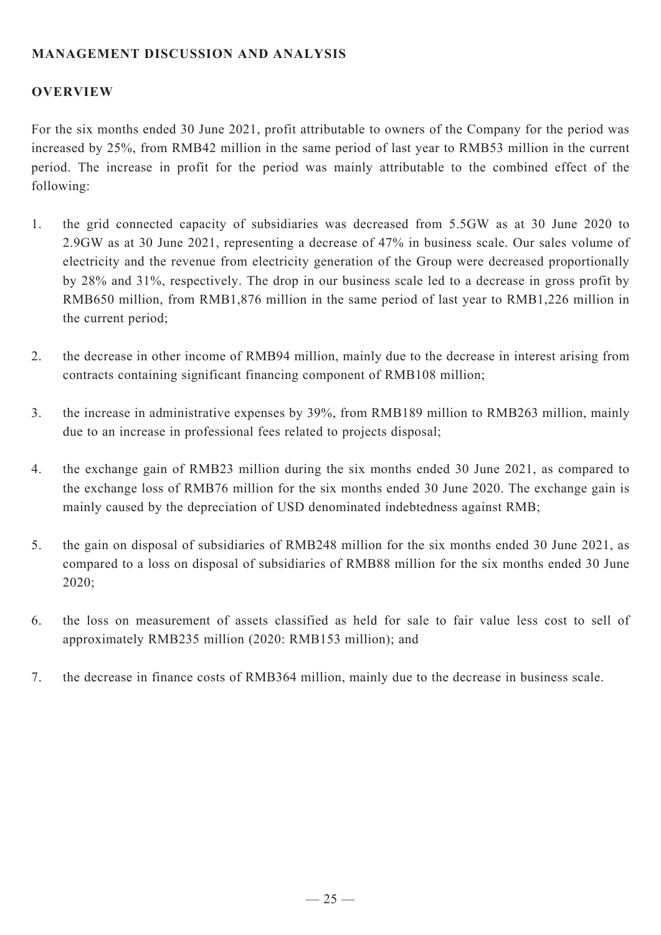# **MANAGEMENT DISCUSSION AND ANALYSIS**

## **OVERVIEW**

For the six months ended 30 June 2021, profit attributable to owners of the Company for the period was increased by 25%, from RMB42 million in the same period of last year to RMB53 million in the current period. The increase in profit for the period was mainly attributable to the combined effect of the following:

- 1. the grid connected capacity of subsidiaries was decreased from 5.5GW as at 30 June 2020 to 2.9GW as at 30 June 2021, representing a decrease of 47% in business scale. Our sales volume of electricity and the revenue from electricity generation of the Group were decreased proportionally by 28% and 31%, respectively. The drop in our business scale led to a decrease in gross profit by RMB650 million, from RMB1,876 million in the same period of last year to RMB1,226 million in the current period;
- 2. the decrease in other income of RMB94 million, mainly due to the decrease in interest arising from contracts containing significant financing component of RMB108 million;
- 3. the increase in administrative expenses by 39%, from RMB189 million to RMB263 million, mainly due to an increase in professional fees related to projects disposal;
- 4. the exchange gain of RMB23 million during the six months ended 30 June 2021, as compared to the exchange loss of RMB76 million for the six months ended 30 June 2020. The exchange gain is mainly caused by the depreciation of USD denominated indebtedness against RMB;
- 5. the gain on disposal of subsidiaries of RMB248 million for the six months ended 30 June 2021, as compared to a loss on disposal of subsidiaries of RMB88 million for the six months ended 30 June 2020;
- 6. the loss on measurement of assets classified as held for sale to fair value less cost to sell of approximately RMB235 million (2020: RMB153 million); and
- 7. the decrease in finance costs of RMB364 million, mainly due to the decrease in business scale.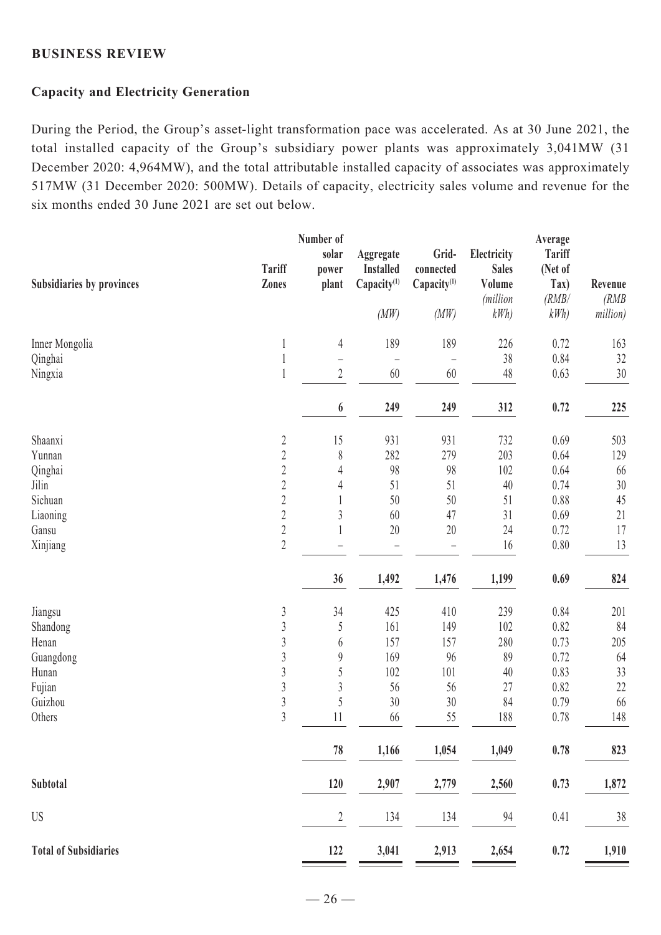#### **BUSINESS REVIEW**

#### **Capacity and Electricity Generation**

During the Period, the Group's asset-light transformation pace was accelerated. As at 30 June 2021, the total installed capacity of the Group's subsidiary power plants was approximately 3,041MW (31 December 2020: 4,964MW), and the total attributable installed capacity of associates was approximately 517MW (31 December 2020: 500MW). Details of capacity, electricity sales volume and revenue for the six months ended 30 June 2021 are set out below.

| <b>Subsidiaries by provinces</b> | Tariff<br>Zones | Number of<br>solar<br>power<br>plant | Aggregate<br><b>Installed</b><br>Capacity <sup>(1)</sup><br>(MW) | Grid-<br>connected<br>Capacity <sup>(1)</sup><br>(MW) | Electricity<br><b>Sales</b><br>Volume<br>(million<br>kWh | Average<br><b>Tariff</b><br>(Net of<br>Tax)<br>(RMB/<br>kWh | Revenue<br>(RMB)<br>million) |
|----------------------------------|-----------------|--------------------------------------|------------------------------------------------------------------|-------------------------------------------------------|----------------------------------------------------------|-------------------------------------------------------------|------------------------------|
| Inner Mongolia                   |                 | $\overline{4}$                       | 189                                                              | 189                                                   | 226                                                      | 0.72                                                        | 163                          |
| Qinghai                          |                 | $\overline{\phantom{0}}$             |                                                                  | $\qquad \qquad -$                                     | 38                                                       | 0.84                                                        | 32                           |
| Ningxia                          | $\mathbf{1}$    | $\overline{2}$                       | 60                                                               | 60                                                    | 48                                                       | 0.63                                                        | $30\,$                       |
|                                  |                 | 6                                    | 249                                                              | 249                                                   | 312                                                      | 0.72                                                        | 225                          |
| Shaanxi                          | $\overline{c}$  | 15                                   | 931                                                              | 931                                                   | 732                                                      | 0.69                                                        | 503                          |
| Yunnan                           | $\sqrt{2}$      | $\,$ $\,$                            | 282                                                              | 279                                                   | 203                                                      | 0.64                                                        | 129                          |
| Qinghai                          | $\sqrt{2}$      | $\overline{4}$                       | 98                                                               | 98                                                    | 102                                                      | 0.64                                                        | 66                           |
| Jilin                            | $\sqrt{2}$      | $\overline{4}$                       | 51                                                               | 51                                                    | $40\,$                                                   | 0.74                                                        | $30\,$                       |
| Sichuan                          | $\sqrt{2}$      | 1                                    | 50                                                               | 50                                                    | 51                                                       | $0.88\,$                                                    | 45                           |
| Liaoning                         | $\overline{2}$  | $\mathfrak{Z}$                       | 60                                                               | 47                                                    | 31                                                       | 0.69                                                        | $21\,$                       |
| Gansu                            | $\overline{c}$  | $\mathbf{1}$                         | 20                                                               | 20                                                    | 24                                                       | 0.72                                                        | 17                           |
| Xinjiang                         | $\overline{2}$  |                                      |                                                                  |                                                       | 16                                                       | $0.80\,$                                                    | 13                           |
|                                  |                 | 36                                   | 1,492                                                            | 1,476                                                 | 1,199                                                    | 0.69                                                        | 824                          |
| Jiangsu                          | $\mathfrak{Z}$  | 34                                   | 425                                                              | 410                                                   | 239                                                      | 0.84                                                        | 201                          |
| Shandong                         | $\sqrt{3}$      | 5                                    | 161                                                              | 149                                                   | 102                                                      | 0.82                                                        | 84                           |
| Henan                            | $\mathfrak{Z}$  | 6                                    | 157                                                              | 157                                                   | 280                                                      | 0.73                                                        | $205\,$                      |
| Guangdong                        | $\sqrt{3}$      | $\boldsymbol{9}$                     | 169                                                              | 96                                                    | 89                                                       | 0.72                                                        | 64                           |
| Hunan                            | $\sqrt{3}$      | $\sqrt{5}$                           | 102                                                              | $101$                                                 | 40                                                       | 0.83                                                        | $33\,$                       |
| Fujian                           | $\sqrt{3}$      | $\sqrt{3}$                           | 56                                                               | 56                                                    | 27                                                       | 0.82                                                        | 22                           |
| Guizhou                          | $\sqrt{3}$      | 5                                    | 30                                                               | $30\,$                                                | 84                                                       | 0.79                                                        | 66                           |
| Others                           | $\overline{3}$  | 11                                   | 66                                                               | 55                                                    | 188                                                      | 0.78                                                        | 148                          |
|                                  |                 | 78                                   | 1,166                                                            | 1,054                                                 | 1,049                                                    | 0.78                                                        | 823                          |
| Subtotal                         |                 | 120                                  | 2,907                                                            | 2,779                                                 | 2,560                                                    | 0.73                                                        | 1,872                        |
| US                               |                 | $\overline{2}$                       | 134                                                              | 134                                                   | 94                                                       | 0.41                                                        | 38                           |
| <b>Total of Subsidiaries</b>     |                 | 122                                  | 3,041                                                            | 2,913                                                 | 2,654                                                    | 0.72                                                        | 1,910                        |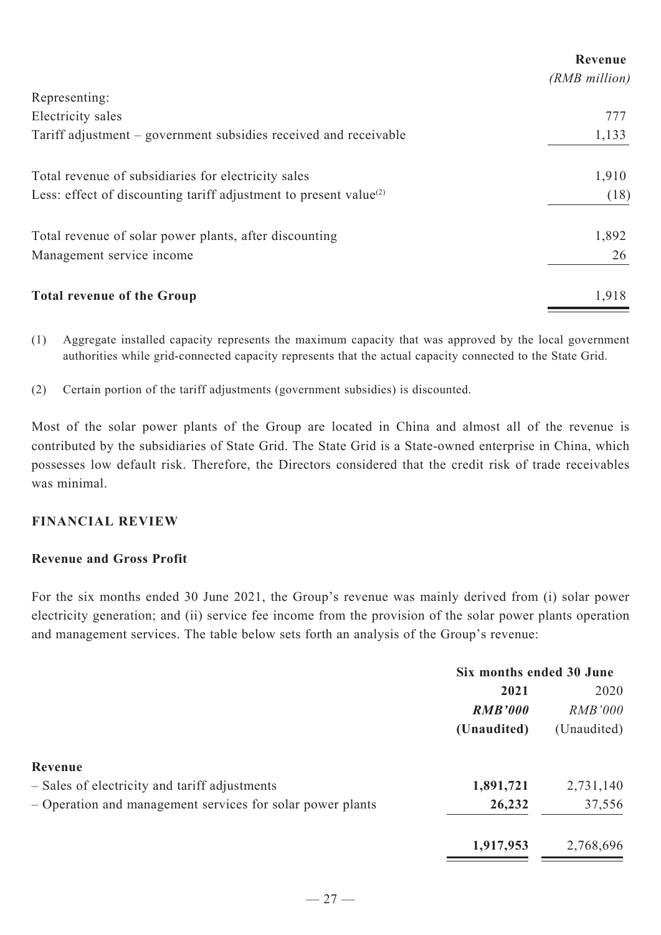|                                                                         | Revenue       |
|-------------------------------------------------------------------------|---------------|
| Representing:                                                           | (RMB million) |
| Electricity sales                                                       | 777           |
|                                                                         |               |
| Tariff adjustment – government subsidies received and receivable        | 1,133         |
| Total revenue of subsidiaries for electricity sales                     | 1,910         |
| Less: effect of discounting tariff adjustment to present value $^{(2)}$ | (18)          |
| Total revenue of solar power plants, after discounting                  | 1,892         |
| Management service income                                               | 26            |
| <b>Total revenue of the Group</b>                                       | 1,918         |

(1) Aggregate installed capacity represents the maximum capacity that was approved by the local government authorities while grid-connected capacity represents that the actual capacity connected to the State Grid.

(2) Certain portion of the tariff adjustments (government subsidies) is discounted.

Most of the solar power plants of the Group are located in China and almost all of the revenue is contributed by the subsidiaries of State Grid. The State Grid is a State-owned enterprise in China, which possesses low default risk. Therefore, the Directors considered that the credit risk of trade receivables was minimal.

## **FINANCIAL REVIEW**

### **Revenue and Gross Profit**

For the six months ended 30 June 2021, the Group's revenue was mainly derived from (i) solar power electricity generation; and (ii) service fee income from the provision of the solar power plants operation and management services. The table below sets forth an analysis of the Group's revenue:

|                                                            | Six months ended 30 June |                |
|------------------------------------------------------------|--------------------------|----------------|
|                                                            | 2021                     | 2020           |
|                                                            | <b>RMB'000</b>           | <b>RMB'000</b> |
|                                                            | (Unaudited)              | (Unaudited)    |
| Revenue                                                    |                          |                |
| - Sales of electricity and tariff adjustments              | 1,891,721                | 2,731,140      |
| - Operation and management services for solar power plants | 26,232                   | 37,556         |
|                                                            | 1,917,953                | 2,768,696      |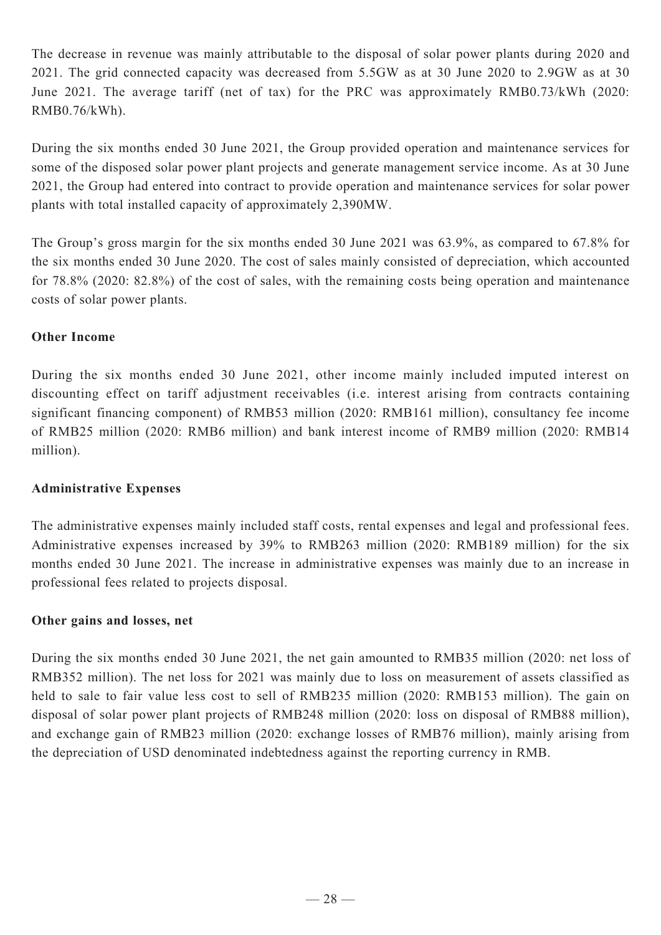The decrease in revenue was mainly attributable to the disposal of solar power plants during 2020 and 2021. The grid connected capacity was decreased from 5.5GW as at 30 June 2020 to 2.9GW as at 30 June 2021. The average tariff (net of tax) for the PRC was approximately RMB0.73/kWh (2020: RMB0.76/kWh).

During the six months ended 30 June 2021, the Group provided operation and maintenance services for some of the disposed solar power plant projects and generate management service income. As at 30 June 2021, the Group had entered into contract to provide operation and maintenance services for solar power plants with total installed capacity of approximately 2,390MW.

The Group's gross margin for the six months ended 30 June 2021 was 63.9%, as compared to 67.8% for the six months ended 30 June 2020. The cost of sales mainly consisted of depreciation, which accounted for 78.8% (2020: 82.8%) of the cost of sales, with the remaining costs being operation and maintenance costs of solar power plants.

## **Other Income**

During the six months ended 30 June 2021, other income mainly included imputed interest on discounting effect on tariff adjustment receivables (i.e. interest arising from contracts containing significant financing component) of RMB53 million (2020: RMB161 million), consultancy fee income of RMB25 million (2020: RMB6 million) and bank interest income of RMB9 million (2020: RMB14 million).

# **Administrative Expenses**

The administrative expenses mainly included staff costs, rental expenses and legal and professional fees. Administrative expenses increased by 39% to RMB263 million (2020: RMB189 million) for the six months ended 30 June 2021. The increase in administrative expenses was mainly due to an increase in professional fees related to projects disposal.

# **Other gains and losses, net**

During the six months ended 30 June 2021, the net gain amounted to RMB35 million (2020: net loss of RMB352 million). The net loss for 2021 was mainly due to loss on measurement of assets classified as held to sale to fair value less cost to sell of RMB235 million (2020: RMB153 million). The gain on disposal of solar power plant projects of RMB248 million (2020: loss on disposal of RMB88 million), and exchange gain of RMB23 million (2020: exchange losses of RMB76 million), mainly arising from the depreciation of USD denominated indebtedness against the reporting currency in RMB.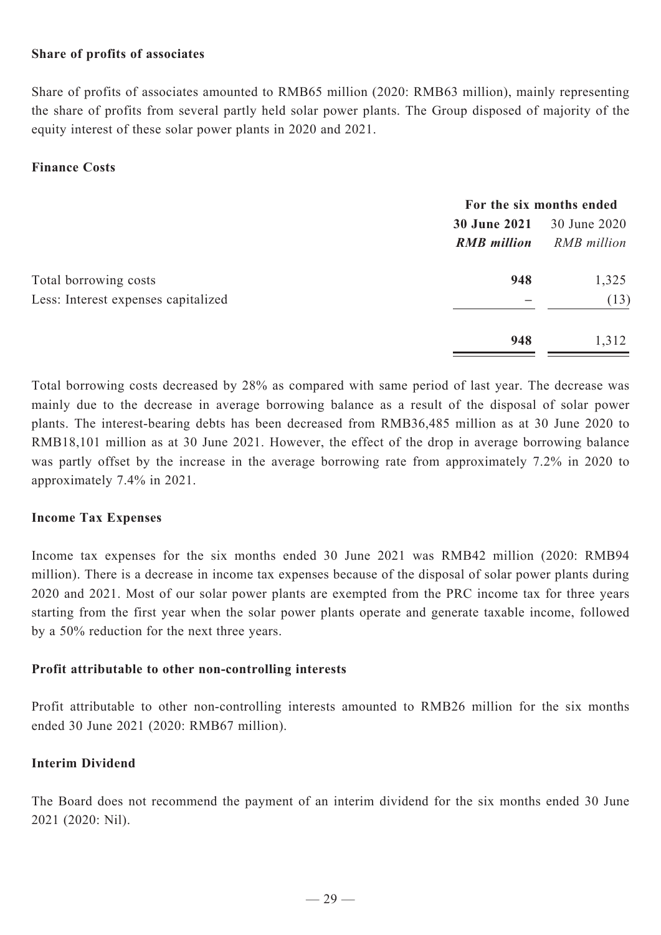#### **Share of profits of associates**

Share of profits of associates amounted to RMB65 million (2020: RMB63 million), mainly representing the share of profits from several partly held solar power plants. The Group disposed of majority of the equity interest of these solar power plants in 2020 and 2021.

### **Finance Costs**

|                                     | For the six months ended     |             |  |
|-------------------------------------|------------------------------|-------------|--|
|                                     | 30 June 2021<br>30 June 2020 |             |  |
|                                     | <b>RMB</b> million           | RMB million |  |
| Total borrowing costs               | 948                          | 1,325       |  |
| Less: Interest expenses capitalized |                              | (13)        |  |
|                                     | 948                          | 1,312       |  |

Total borrowing costs decreased by 28% as compared with same period of last year. The decrease was mainly due to the decrease in average borrowing balance as a result of the disposal of solar power plants. The interest-bearing debts has been decreased from RMB36,485 million as at 30 June 2020 to RMB18,101 million as at 30 June 2021. However, the effect of the drop in average borrowing balance was partly offset by the increase in the average borrowing rate from approximately 7.2% in 2020 to approximately 7.4% in 2021.

### **Income Tax Expenses**

Income tax expenses for the six months ended 30 June 2021 was RMB42 million (2020: RMB94 million). There is a decrease in income tax expenses because of the disposal of solar power plants during 2020 and 2021. Most of our solar power plants are exempted from the PRC income tax for three years starting from the first year when the solar power plants operate and generate taxable income, followed by a 50% reduction for the next three years.

#### **Profit attributable to other non-controlling interests**

Profit attributable to other non-controlling interests amounted to RMB26 million for the six months ended 30 June 2021 (2020: RMB67 million).

### **Interim Dividend**

The Board does not recommend the payment of an interim dividend for the six months ended 30 June 2021 (2020: Nil).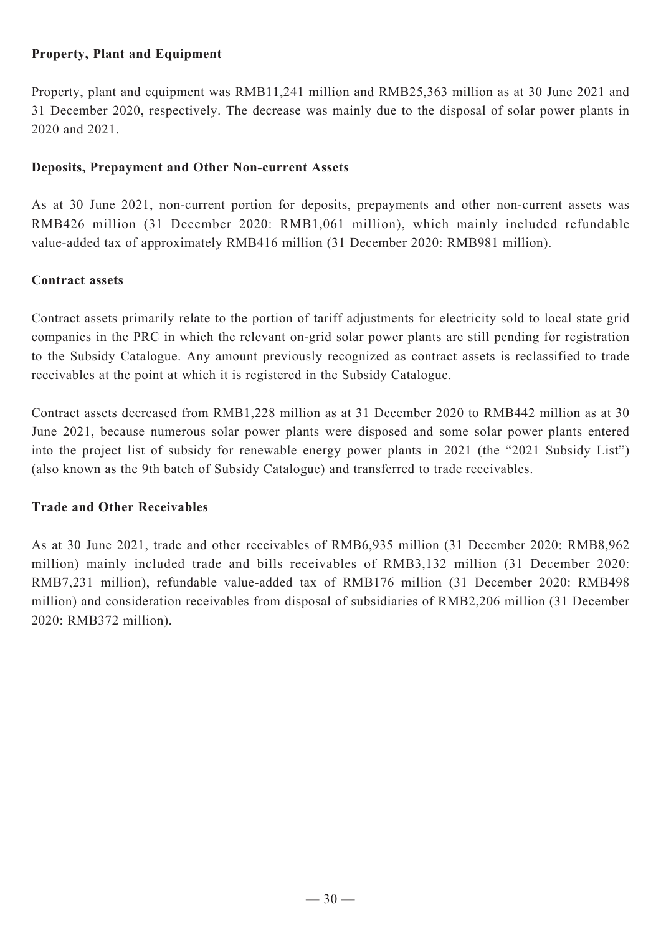## **Property, Plant and Equipment**

Property, plant and equipment was RMB11,241 million and RMB25,363 million as at 30 June 2021 and 31 December 2020, respectively. The decrease was mainly due to the disposal of solar power plants in 2020 and 2021.

## **Deposits, Prepayment and Other Non-current Assets**

As at 30 June 2021, non-current portion for deposits, prepayments and other non-current assets was RMB426 million (31 December 2020: RMB1,061 million), which mainly included refundable value-added tax of approximately RMB416 million (31 December 2020: RMB981 million).

### **Contract assets**

Contract assets primarily relate to the portion of tariff adjustments for electricity sold to local state grid companies in the PRC in which the relevant on-grid solar power plants are still pending for registration to the Subsidy Catalogue. Any amount previously recognized as contract assets is reclassified to trade receivables at the point at which it is registered in the Subsidy Catalogue.

Contract assets decreased from RMB1,228 million as at 31 December 2020 to RMB442 million as at 30 June 2021, because numerous solar power plants were disposed and some solar power plants entered into the project list of subsidy for renewable energy power plants in 2021 (the "2021 Subsidy List") (also known as the 9th batch of Subsidy Catalogue) and transferred to trade receivables.

### **Trade and Other Receivables**

As at 30 June 2021, trade and other receivables of RMB6,935 million (31 December 2020: RMB8,962 million) mainly included trade and bills receivables of RMB3,132 million (31 December 2020: RMB7,231 million), refundable value-added tax of RMB176 million (31 December 2020: RMB498 million) and consideration receivables from disposal of subsidiaries of RMB2,206 million (31 December 2020: RMB372 million).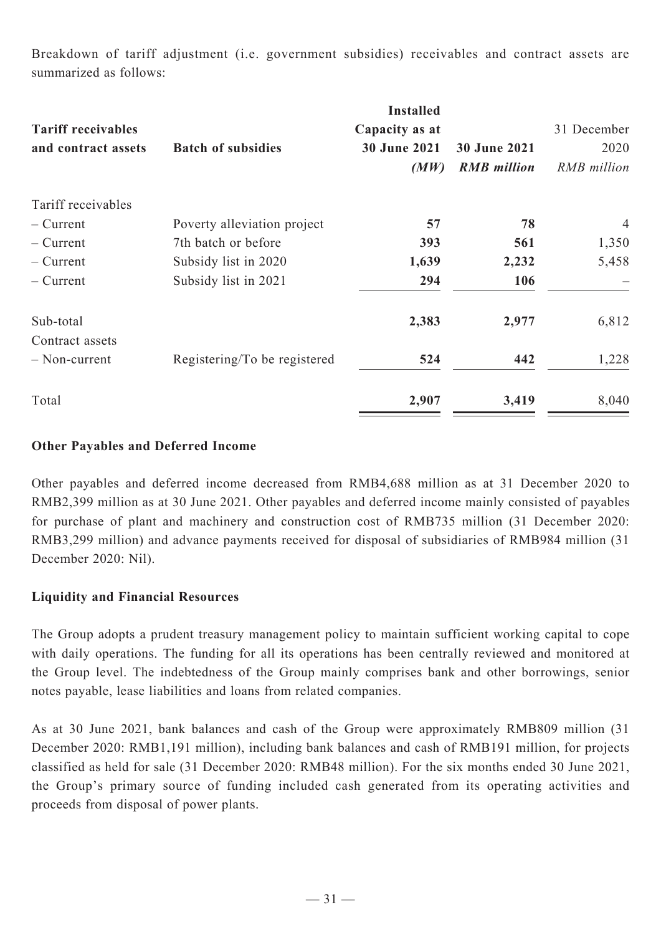Breakdown of tariff adjustment (i.e. government subsidies) receivables and contract assets are summarized as follows:

|                           |                              | <b>Installed</b>    |                     |             |
|---------------------------|------------------------------|---------------------|---------------------|-------------|
| <b>Tariff receivables</b> |                              | Capacity as at      |                     | 31 December |
| and contract assets       | <b>Batch of subsidies</b>    | <b>30 June 2021</b> | <b>30 June 2021</b> | 2020        |
|                           |                              | (MW)                | <b>RMB</b> million  | RMB million |
| Tariff receivables        |                              |                     |                     |             |
| $-$ Current               | Poverty alleviation project  | 57                  | 78                  | 4           |
| $-$ Current               | 7th batch or before          | 393                 | 561                 | 1,350       |
| $-$ Current               | Subsidy list in 2020         | 1,639               | 2,232               | 5,458       |
| $-$ Current               | Subsidy list in 2021         | 294                 | 106                 |             |
| Sub-total                 |                              | 2,383               | 2,977               | 6,812       |
| Contract assets           |                              |                     |                     |             |
| - Non-current             | Registering/To be registered | 524                 | 442                 | 1,228       |
| Total                     |                              | 2,907               | 3,419               | 8,040       |

## **Other Payables and Deferred Income**

Other payables and deferred income decreased from RMB4,688 million as at 31 December 2020 to RMB2,399 million as at 30 June 2021. Other payables and deferred income mainly consisted of payables for purchase of plant and machinery and construction cost of RMB735 million (31 December 2020: RMB3,299 million) and advance payments received for disposal of subsidiaries of RMB984 million (31 December 2020: Nil).

### **Liquidity and Financial Resources**

The Group adopts a prudent treasury management policy to maintain sufficient working capital to cope with daily operations. The funding for all its operations has been centrally reviewed and monitored at the Group level. The indebtedness of the Group mainly comprises bank and other borrowings, senior notes payable, lease liabilities and loans from related companies.

As at 30 June 2021, bank balances and cash of the Group were approximately RMB809 million (31 December 2020: RMB1,191 million), including bank balances and cash of RMB191 million, for projects classified as held for sale (31 December 2020: RMB48 million). For the six months ended 30 June 2021, the Group's primary source of funding included cash generated from its operating activities and proceeds from disposal of power plants.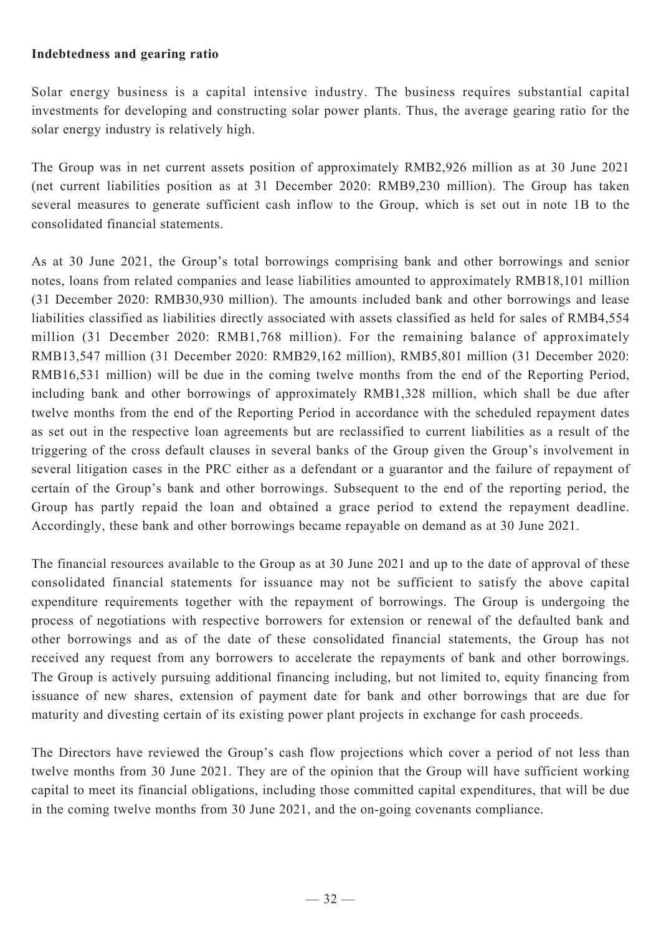### **Indebtedness and gearing ratio**

Solar energy business is a capital intensive industry. The business requires substantial capital investments for developing and constructing solar power plants. Thus, the average gearing ratio for the solar energy industry is relatively high.

The Group was in net current assets position of approximately RMB2,926 million as at 30 June 2021 (net current liabilities position as at 31 December 2020: RMB9,230 million). The Group has taken several measures to generate sufficient cash inflow to the Group, which is set out in note 1B to the consolidated financial statements.

As at 30 June 2021, the Group's total borrowings comprising bank and other borrowings and senior notes, loans from related companies and lease liabilities amounted to approximately RMB18,101 million (31 December 2020: RMB30,930 million). The amounts included bank and other borrowings and lease liabilities classified as liabilities directly associated with assets classified as held for sales of RMB4,554 million (31 December 2020: RMB1,768 million). For the remaining balance of approximately RMB13,547 million (31 December 2020: RMB29,162 million), RMB5,801 million (31 December 2020: RMB16,531 million) will be due in the coming twelve months from the end of the Reporting Period, including bank and other borrowings of approximately RMB1,328 million, which shall be due after twelve months from the end of the Reporting Period in accordance with the scheduled repayment dates as set out in the respective loan agreements but are reclassified to current liabilities as a result of the triggering of the cross default clauses in several banks of the Group given the Group's involvement in several litigation cases in the PRC either as a defendant or a guarantor and the failure of repayment of certain of the Group's bank and other borrowings. Subsequent to the end of the reporting period, the Group has partly repaid the loan and obtained a grace period to extend the repayment deadline. Accordingly, these bank and other borrowings became repayable on demand as at 30 June 2021.

The financial resources available to the Group as at 30 June 2021 and up to the date of approval of these consolidated financial statements for issuance may not be sufficient to satisfy the above capital expenditure requirements together with the repayment of borrowings. The Group is undergoing the process of negotiations with respective borrowers for extension or renewal of the defaulted bank and other borrowings and as of the date of these consolidated financial statements, the Group has not received any request from any borrowers to accelerate the repayments of bank and other borrowings. The Group is actively pursuing additional financing including, but not limited to, equity financing from issuance of new shares, extension of payment date for bank and other borrowings that are due for maturity and divesting certain of its existing power plant projects in exchange for cash proceeds.

The Directors have reviewed the Group's cash flow projections which cover a period of not less than twelve months from 30 June 2021. They are of the opinion that the Group will have sufficient working capital to meet its financial obligations, including those committed capital expenditures, that will be due in the coming twelve months from 30 June 2021, and the on-going covenants compliance.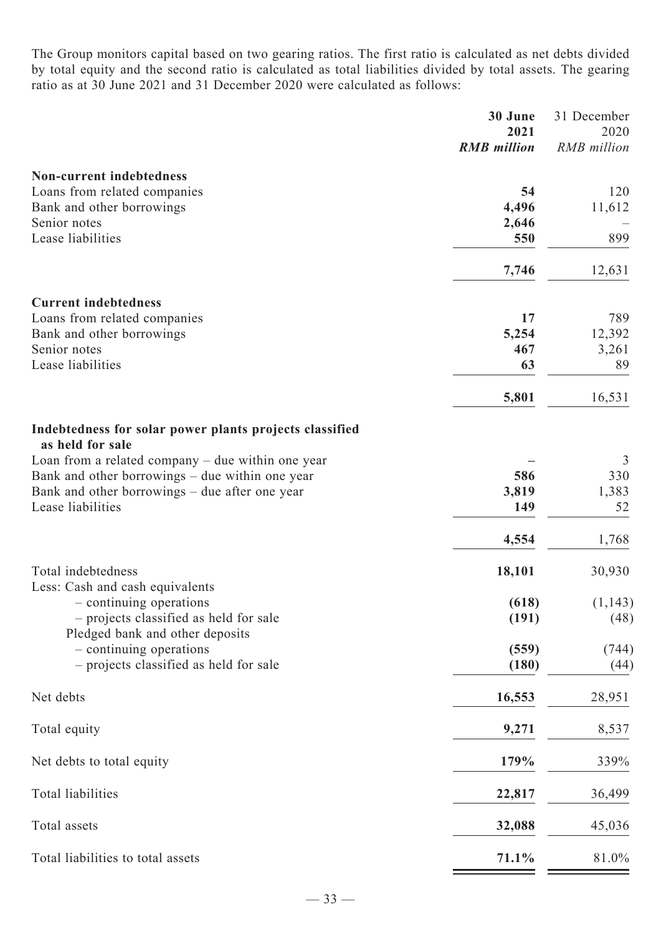The Group monitors capital based on two gearing ratios. The first ratio is calculated as net debts divided by total equity and the second ratio is calculated as total liabilities divided by total assets. The gearing ratio as at 30 June 2021 and 31 December 2020 were calculated as follows:

|                                                                             | 30 June<br>2021    | 31 December<br>2020 |
|-----------------------------------------------------------------------------|--------------------|---------------------|
|                                                                             | <b>RMB</b> million | RMB million         |
|                                                                             |                    |                     |
| Non-current indebtedness<br>Loans from related companies                    | 54                 | 120                 |
| Bank and other borrowings                                                   | 4,496              | 11,612              |
| Senior notes                                                                | 2,646              |                     |
| Lease liabilities                                                           | 550                | 899                 |
|                                                                             | 7,746              | 12,631              |
| <b>Current indebtedness</b>                                                 |                    |                     |
| Loans from related companies                                                | 17                 | 789                 |
| Bank and other borrowings                                                   | 5,254              | 12,392              |
| Senior notes                                                                | 467                | 3,261               |
| Lease liabilities                                                           | 63                 | 89                  |
|                                                                             | 5,801              | 16,531              |
| Indebtedness for solar power plants projects classified<br>as held for sale |                    |                     |
| Loan from a related company $-$ due within one year                         |                    | 3                   |
| Bank and other borrowings – due within one year                             | 586                | 330                 |
| Bank and other borrowings – due after one year                              | 3,819              | 1,383               |
| Lease liabilities                                                           | 149                | 52                  |
|                                                                             | 4,554              | 1,768               |
| Total indebtedness                                                          | 18,101             | 30,930              |
| Less: Cash and cash equivalents                                             |                    |                     |
| - continuing operations<br>- projects classified as held for sale           | (618)<br>(191)     | (1, 143)<br>(48)    |
| Pledged bank and other deposits                                             |                    |                     |
| - continuing operations                                                     | (559)              | (744)               |
| - projects classified as held for sale                                      | (180)              | (44)                |
| Net debts                                                                   | 16,553             | 28,951              |
| Total equity                                                                | 9,271              | 8,537               |
| Net debts to total equity                                                   | 179%               | 339%                |
| Total liabilities                                                           | 22,817             | 36,499              |
| Total assets                                                                | 32,088             | 45,036              |
| Total liabilities to total assets                                           | 71.1%              | 81.0%               |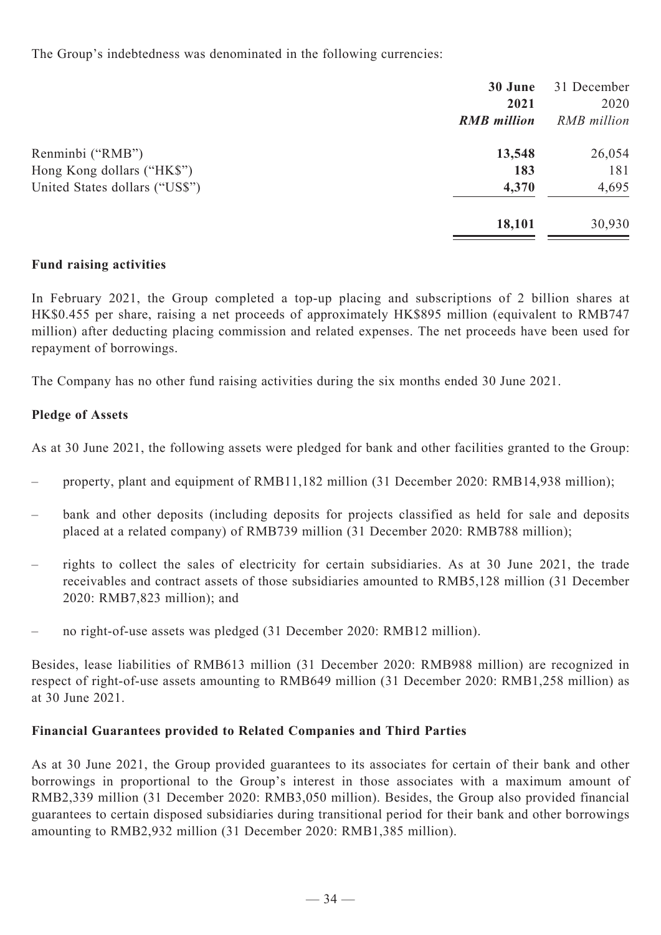The Group's indebtedness was denominated in the following currencies:

|                                | 30 June            | 31 December |
|--------------------------------|--------------------|-------------|
|                                | 2021               | 2020        |
|                                | <b>RMB</b> million | RMB million |
| Renminbi ("RMB")               | 13,548             | 26,054      |
| Hong Kong dollars ("HK\$")     | 183                | 181         |
| United States dollars ("US\$") | 4,370              | 4,695       |
|                                | 18,101             | 30,930      |

### **Fund raising activities**

In February 2021, the Group completed a top-up placing and subscriptions of 2 billion shares at HK\$0.455 per share, raising a net proceeds of approximately HK\$895 million (equivalent to RMB747 million) after deducting placing commission and related expenses. The net proceeds have been used for repayment of borrowings.

The Company has no other fund raising activities during the six months ended 30 June 2021.

### **Pledge of Assets**

As at 30 June 2021, the following assets were pledged for bank and other facilities granted to the Group:

- property, plant and equipment of RMB11,182 million (31 December 2020: RMB14,938 million);
- bank and other deposits (including deposits for projects classified as held for sale and deposits placed at a related company) of RMB739 million (31 December 2020: RMB788 million);
- rights to collect the sales of electricity for certain subsidiaries. As at 30 June 2021, the trade receivables and contract assets of those subsidiaries amounted to RMB5,128 million (31 December 2020: RMB7,823 million); and
- no right-of-use assets was pledged (31 December 2020: RMB12 million).

Besides, lease liabilities of RMB613 million (31 December 2020: RMB988 million) are recognized in respect of right-of-use assets amounting to RMB649 million (31 December 2020: RMB1,258 million) as at 30 June 2021.

### **Financial Guarantees provided to Related Companies and Third Parties**

As at 30 June 2021, the Group provided guarantees to its associates for certain of their bank and other borrowings in proportional to the Group's interest in those associates with a maximum amount of RMB2,339 million (31 December 2020: RMB3,050 million). Besides, the Group also provided financial guarantees to certain disposed subsidiaries during transitional period for their bank and other borrowings amounting to RMB2,932 million (31 December 2020: RMB1,385 million).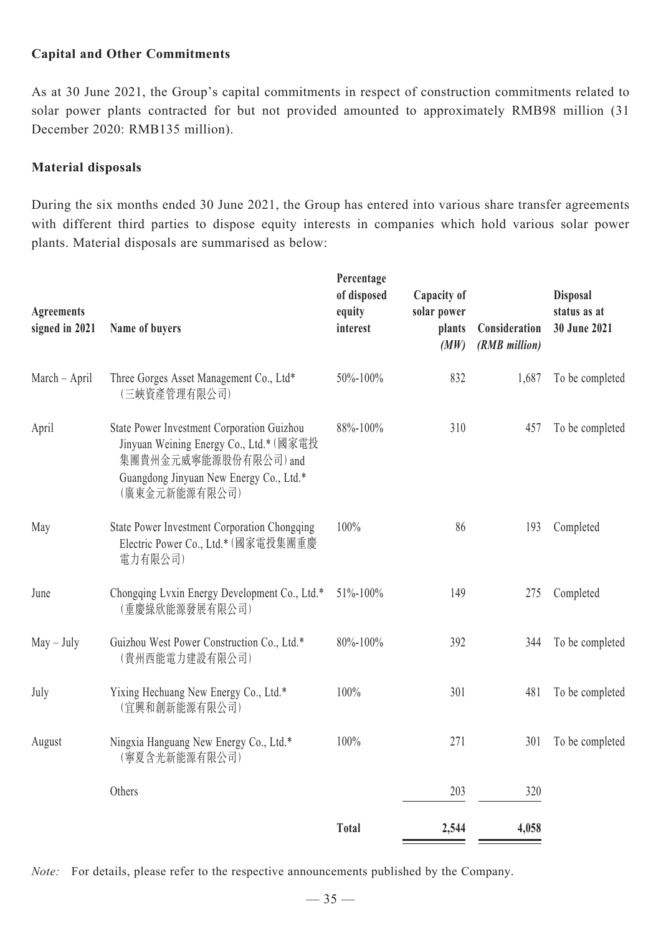## **Capital and Other Commitments**

As at 30 June 2021, the Group's capital commitments in respect of construction commitments related to solar power plants contracted for but not provided amounted to approximately RMB98 million (31 December 2020: RMB135 million).

## **Material disposals**

During the six months ended 30 June 2021, the Group has entered into various share transfer agreements with different third parties to dispose equity interests in companies which hold various solar power plants. Material disposals are summarised as below:

| <b>Agreements</b><br>signed in 2021 | Name of buyers                                                                                                                                                             | Percentage<br>of disposed<br>equity<br>interest | Capacity of<br>solar power<br>plants<br>(MW) | Consideration<br>(RMB million) | <b>Disposal</b><br>status as at<br>30 June 2021 |
|-------------------------------------|----------------------------------------------------------------------------------------------------------------------------------------------------------------------------|-------------------------------------------------|----------------------------------------------|--------------------------------|-------------------------------------------------|
| March - April                       | Three Gorges Asset Management Co., Ltd*<br>(三峽資產管理有限公司)                                                                                                                    | 50%-100%                                        | 832                                          | 1,687                          | To be completed                                 |
| April                               | State Power Investment Corporation Guizhou<br>Jinyuan Weining Energy Co., Ltd.* (國家電投<br>集團貴州金元威寧能源股份有限公司) and<br>Guangdong Jinyuan New Energy Co., Ltd.*<br>(廣東金元新能源有限公司) | 88%-100%                                        | 310                                          | 457                            | To be completed                                 |
| May                                 | State Power Investment Corporation Chongqing<br>Electric Power Co., Ltd.* (國家電投集團重慶<br>電力有限公司)                                                                             | 100%                                            | 86                                           | 193                            | Completed                                       |
| June                                | Chongqing Lvxin Energy Development Co., Ltd.*<br>(重慶綠欣能源發展有限公司)                                                                                                            | 51%-100%                                        | 149                                          | 275                            | Completed                                       |
| $May - July$                        | Guizhou West Power Construction Co., Ltd.*<br>(貴州西能電力建設有限公司)                                                                                                               | 80%-100%                                        | 392                                          | 344                            | To be completed                                 |
| July                                | Yixing Hechuang New Energy Co., Ltd.*<br>(宜興和創新能源有限公司)                                                                                                                     | 100%                                            | 301                                          | 481                            | To be completed                                 |
| August                              | Ningxia Hanguang New Energy Co., Ltd.*<br>(寧夏含光新能源有限公司)                                                                                                                    | 100%                                            | 271                                          | 301                            | To be completed                                 |
|                                     | Others                                                                                                                                                                     |                                                 | 203                                          | 320                            |                                                 |
|                                     |                                                                                                                                                                            | <b>Total</b>                                    | 2,544                                        | 4,058                          |                                                 |

*Note*: For details, please refer to the respective announcements published by the Company.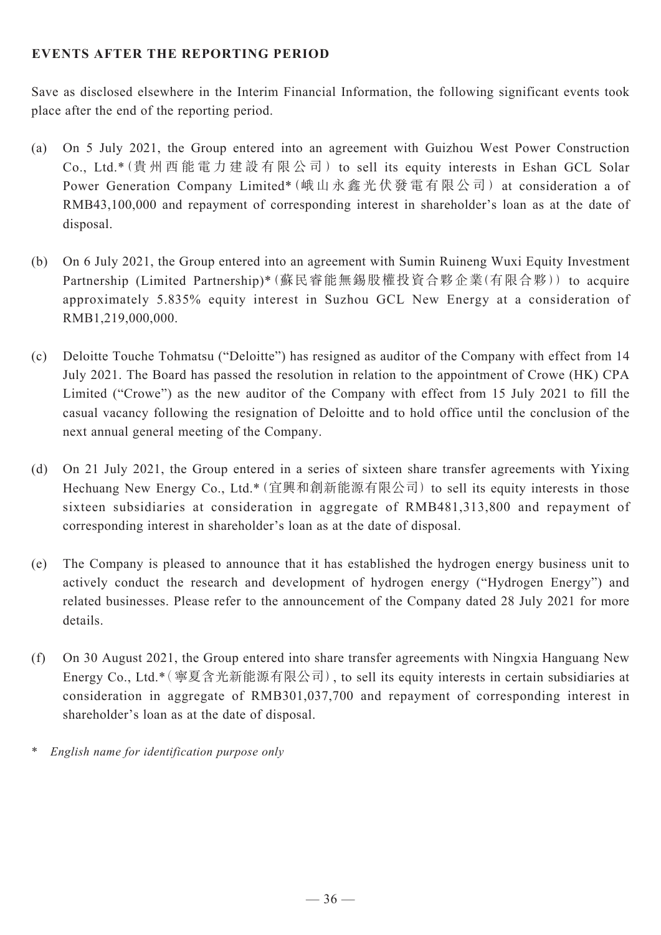# **EVENTS AFTER THE REPORTING PERIOD**

Save as disclosed elsewhere in the Interim Financial Information, the following significant events took place after the end of the reporting period.

- (a) On 5 July 2021, the Group entered into an agreement with Guizhou West Power Construction Co., Ltd.\*(貴 州 西 能 電 力 建 設 有 限 公 司 ) to sell its equity interests in Eshan GCL Solar Power Generation Company Limited\*(峨山永鑫光伏發電有限公司) at consideration a of RMB43,100,000 and repayment of corresponding interest in shareholder's loan as at the date of disposal.
- (b) On 6 July 2021, the Group entered into an agreement with Sumin Ruineng Wuxi Equity Investment Partnership (Limited Partnership)\*(蘇民睿能無錫股權投資合夥企業(有限合夥)) to acquire approximately 5.835% equity interest in Suzhou GCL New Energy at a consideration of RMB1,219,000,000.
- (c) Deloitte Touche Tohmatsu ("Deloitte") has resigned as auditor of the Company with effect from 14 July 2021. The Board has passed the resolution in relation to the appointment of Crowe (HK) CPA Limited ("Crowe") as the new auditor of the Company with effect from 15 July 2021 to fill the casual vacancy following the resignation of Deloitte and to hold office until the conclusion of the next annual general meeting of the Company.
- (d) On 21 July 2021, the Group entered in a series of sixteen share transfer agreements with Yixing Hechuang New Energy Co., Ltd.\*(宜興和創新能源有限公司) to sell its equity interests in those sixteen subsidiaries at consideration in aggregate of RMB481,313,800 and repayment of corresponding interest in shareholder's loan as at the date of disposal.
- (e) The Company is pleased to announce that it has established the hydrogen energy business unit to actively conduct the research and development of hydrogen energy ("Hydrogen Energy") and related businesses. Please refer to the announcement of the Company dated 28 July 2021 for more details.
- (f) On 30 August 2021, the Group entered into share transfer agreements with Ningxia Hanguang New Energy Co., Ltd.\*(寧夏含光新能源有限公司), to sell its equity interests in certain subsidiaries at consideration in aggregate of RMB301,037,700 and repayment of corresponding interest in shareholder's loan as at the date of disposal.
- \* *English name for identification purpose only*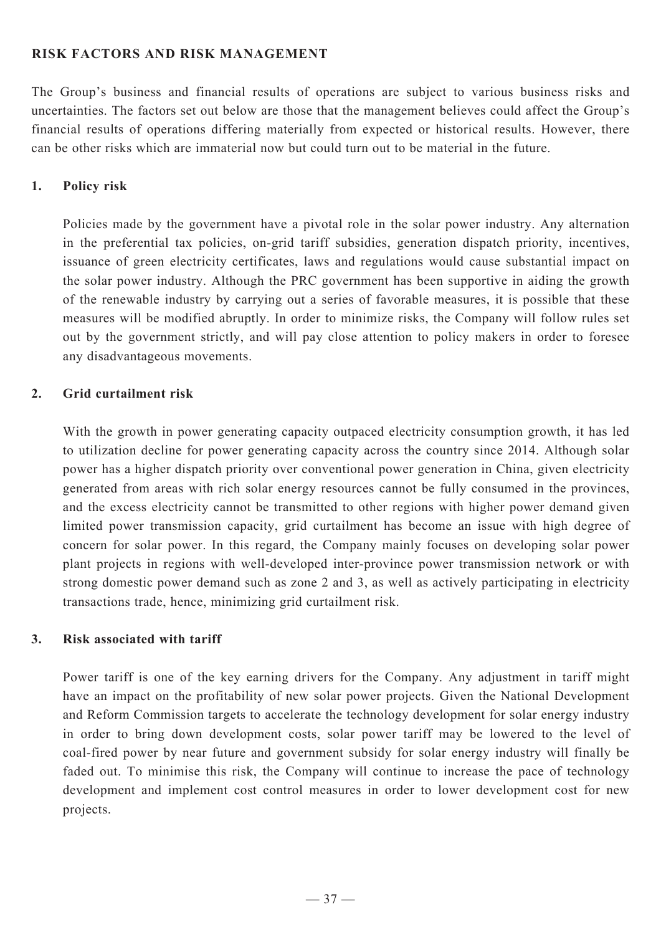## **RISK FACTORS AND RISK MANAGEMENT**

The Group's business and financial results of operations are subject to various business risks and uncertainties. The factors set out below are those that the management believes could affect the Group's financial results of operations differing materially from expected or historical results. However, there can be other risks which are immaterial now but could turn out to be material in the future.

## **1. Policy risk**

Policies made by the government have a pivotal role in the solar power industry. Any alternation in the preferential tax policies, on-grid tariff subsidies, generation dispatch priority, incentives, issuance of green electricity certificates, laws and regulations would cause substantial impact on the solar power industry. Although the PRC government has been supportive in aiding the growth of the renewable industry by carrying out a series of favorable measures, it is possible that these measures will be modified abruptly. In order to minimize risks, the Company will follow rules set out by the government strictly, and will pay close attention to policy makers in order to foresee any disadvantageous movements.

### **2. Grid curtailment risk**

With the growth in power generating capacity outpaced electricity consumption growth, it has led to utilization decline for power generating capacity across the country since 2014. Although solar power has a higher dispatch priority over conventional power generation in China, given electricity generated from areas with rich solar energy resources cannot be fully consumed in the provinces, and the excess electricity cannot be transmitted to other regions with higher power demand given limited power transmission capacity, grid curtailment has become an issue with high degree of concern for solar power. In this regard, the Company mainly focuses on developing solar power plant projects in regions with well-developed inter-province power transmission network or with strong domestic power demand such as zone 2 and 3, as well as actively participating in electricity transactions trade, hence, minimizing grid curtailment risk.

### **3. Risk associated with tariff**

Power tariff is one of the key earning drivers for the Company. Any adjustment in tariff might have an impact on the profitability of new solar power projects. Given the National Development and Reform Commission targets to accelerate the technology development for solar energy industry in order to bring down development costs, solar power tariff may be lowered to the level of coal-fired power by near future and government subsidy for solar energy industry will finally be faded out. To minimise this risk, the Company will continue to increase the pace of technology development and implement cost control measures in order to lower development cost for new projects.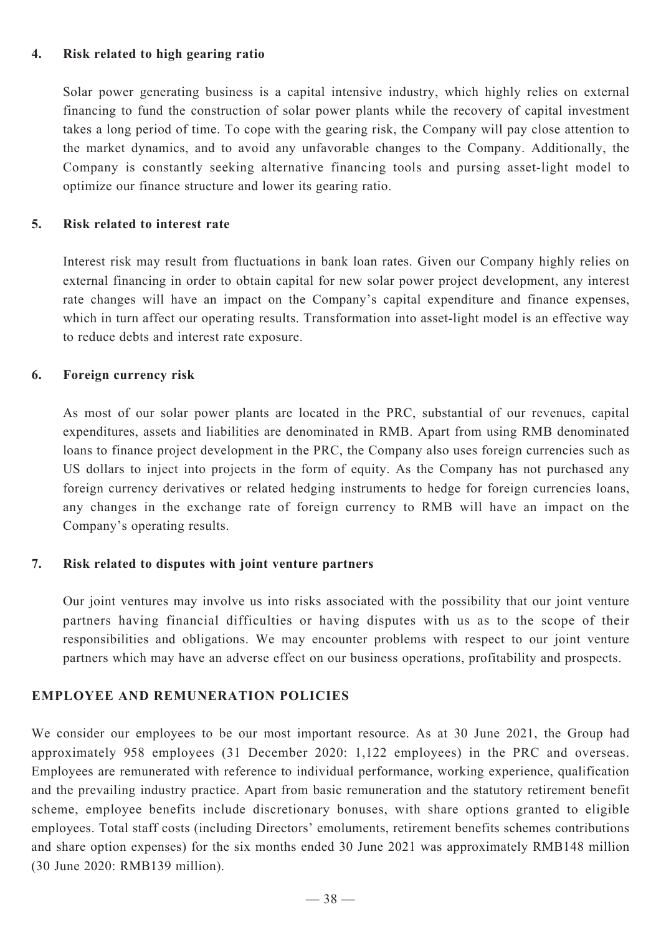## **4. Risk related to high gearing ratio**

Solar power generating business is a capital intensive industry, which highly relies on external financing to fund the construction of solar power plants while the recovery of capital investment takes a long period of time. To cope with the gearing risk, the Company will pay close attention to the market dynamics, and to avoid any unfavorable changes to the Company. Additionally, the Company is constantly seeking alternative financing tools and pursing asset-light model to optimize our finance structure and lower its gearing ratio.

#### **5. Risk related to interest rate**

Interest risk may result from fluctuations in bank loan rates. Given our Company highly relies on external financing in order to obtain capital for new solar power project development, any interest rate changes will have an impact on the Company's capital expenditure and finance expenses, which in turn affect our operating results. Transformation into asset-light model is an effective way to reduce debts and interest rate exposure.

#### **6. Foreign currency risk**

As most of our solar power plants are located in the PRC, substantial of our revenues, capital expenditures, assets and liabilities are denominated in RMB. Apart from using RMB denominated loans to finance project development in the PRC, the Company also uses foreign currencies such as US dollars to inject into projects in the form of equity. As the Company has not purchased any foreign currency derivatives or related hedging instruments to hedge for foreign currencies loans, any changes in the exchange rate of foreign currency to RMB will have an impact on the Company's operating results.

### **7. Risk related to disputes with joint venture partners**

Our joint ventures may involve us into risks associated with the possibility that our joint venture partners having financial difficulties or having disputes with us as to the scope of their responsibilities and obligations. We may encounter problems with respect to our joint venture partners which may have an adverse effect on our business operations, profitability and prospects.

### **EMPLOYEE AND REMUNERATION POLICIES**

We consider our employees to be our most important resource. As at 30 June 2021, the Group had approximately 958 employees (31 December 2020: 1,122 employees) in the PRC and overseas. Employees are remunerated with reference to individual performance, working experience, qualification and the prevailing industry practice. Apart from basic remuneration and the statutory retirement benefit scheme, employee benefits include discretionary bonuses, with share options granted to eligible employees. Total staff costs (including Directors' emoluments, retirement benefits schemes contributions and share option expenses) for the six months ended 30 June 2021 was approximately RMB148 million (30 June 2020: RMB139 million).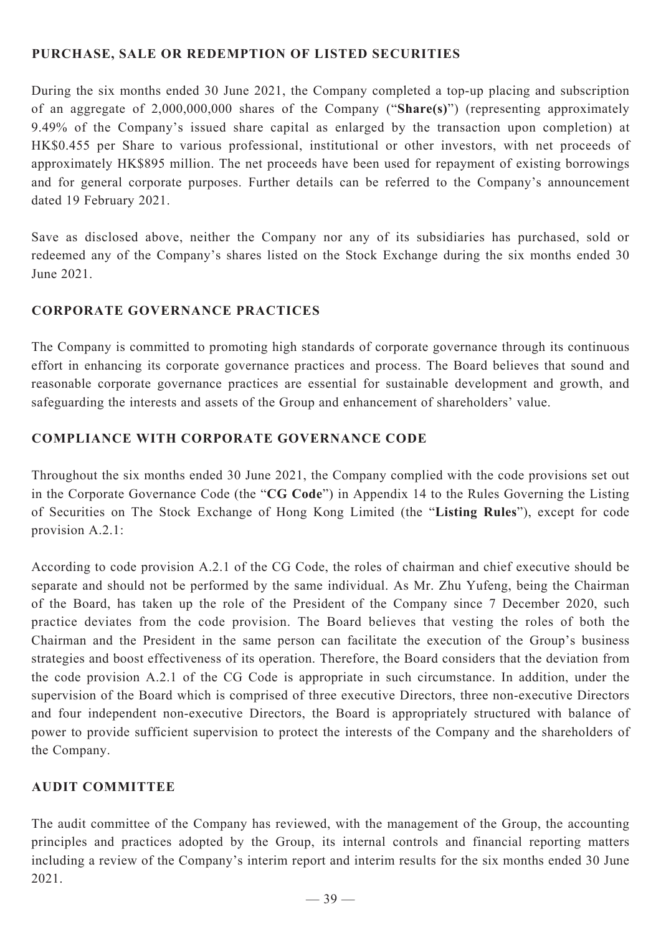## **PURCHASE, SALE OR REDEMPTION OF LISTED SECURITIES**

During the six months ended 30 June 2021, the Company completed a top-up placing and subscription of an aggregate of 2,000,000,000 shares of the Company ("**Share(s)**") (representing approximately 9.49% of the Company's issued share capital as enlarged by the transaction upon completion) at HK\$0.455 per Share to various professional, institutional or other investors, with net proceeds of approximately HK\$895 million. The net proceeds have been used for repayment of existing borrowings and for general corporate purposes. Further details can be referred to the Company's announcement dated 19 February 2021.

Save as disclosed above, neither the Company nor any of its subsidiaries has purchased, sold or redeemed any of the Company's shares listed on the Stock Exchange during the six months ended 30 June 2021.

## **CORPORATE GOVERNANCE PRACTICES**

The Company is committed to promoting high standards of corporate governance through its continuous effort in enhancing its corporate governance practices and process. The Board believes that sound and reasonable corporate governance practices are essential for sustainable development and growth, and safeguarding the interests and assets of the Group and enhancement of shareholders' value.

## **COMPLIANCE WITH CORPORATE GOVERNANCE CODE**

Throughout the six months ended 30 June 2021, the Company complied with the code provisions set out in the Corporate Governance Code (the "**CG Code**") in Appendix 14 to the Rules Governing the Listing of Securities on The Stock Exchange of Hong Kong Limited (the "**Listing Rules**"), except for code provision A.2.1:

According to code provision A.2.1 of the CG Code, the roles of chairman and chief executive should be separate and should not be performed by the same individual. As Mr. Zhu Yufeng, being the Chairman of the Board, has taken up the role of the President of the Company since 7 December 2020, such practice deviates from the code provision. The Board believes that vesting the roles of both the Chairman and the President in the same person can facilitate the execution of the Group's business strategies and boost effectiveness of its operation. Therefore, the Board considers that the deviation from the code provision A.2.1 of the CG Code is appropriate in such circumstance. In addition, under the supervision of the Board which is comprised of three executive Directors, three non-executive Directors and four independent non-executive Directors, the Board is appropriately structured with balance of power to provide sufficient supervision to protect the interests of the Company and the shareholders of the Company.

### **AUDIT COMMITTEE**

The audit committee of the Company has reviewed, with the management of the Group, the accounting principles and practices adopted by the Group, its internal controls and financial reporting matters including a review of the Company's interim report and interim results for the six months ended 30 June 2021.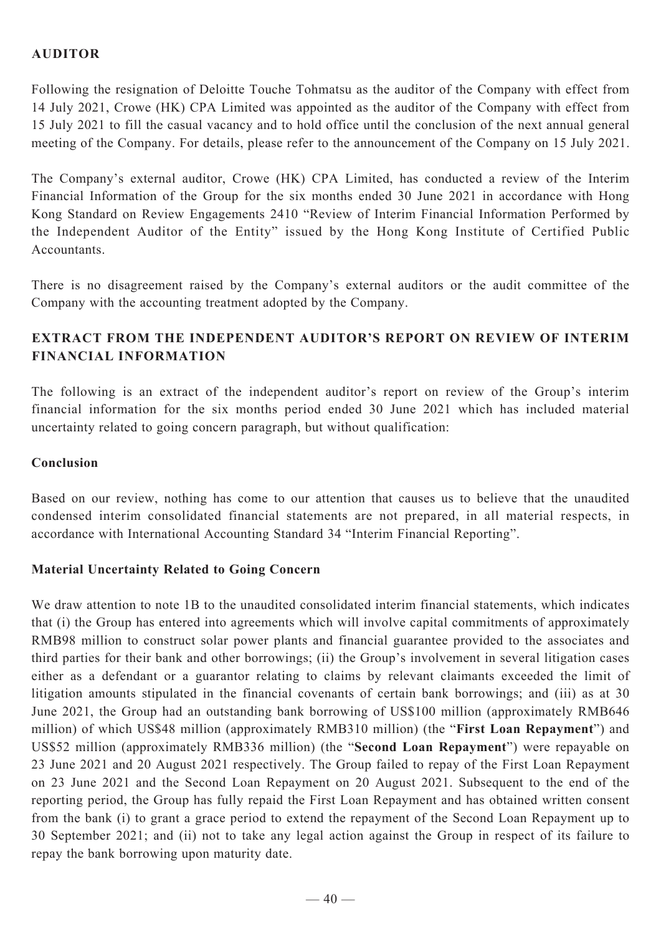# **AUDITOR**

Following the resignation of Deloitte Touche Tohmatsu as the auditor of the Company with effect from 14 July 2021, Crowe (HK) CPA Limited was appointed as the auditor of the Company with effect from 15 July 2021 to fill the casual vacancy and to hold office until the conclusion of the next annual general meeting of the Company. For details, please refer to the announcement of the Company on 15 July 2021.

The Company's external auditor, Crowe (HK) CPA Limited, has conducted a review of the Interim Financial Information of the Group for the six months ended 30 June 2021 in accordance with Hong Kong Standard on Review Engagements 2410 "Review of Interim Financial Information Performed by the Independent Auditor of the Entity" issued by the Hong Kong Institute of Certified Public Accountants.

There is no disagreement raised by the Company's external auditors or the audit committee of the Company with the accounting treatment adopted by the Company.

# **EXTRACT FROM THE INDEPENDENT AUDITOR'S REPORT ON REVIEW OF INTERIM FINANCIAL INFORMATION**

The following is an extract of the independent auditor's report on review of the Group's interim financial information for the six months period ended 30 June 2021 which has included material uncertainty related to going concern paragraph, but without qualification:

#### **Conclusion**

Based on our review, nothing has come to our attention that causes us to believe that the unaudited condensed interim consolidated financial statements are not prepared, in all material respects, in accordance with International Accounting Standard 34 "Interim Financial Reporting".

### **Material Uncertainty Related to Going Concern**

We draw attention to note 1B to the unaudited consolidated interim financial statements, which indicates that (i) the Group has entered into agreements which will involve capital commitments of approximately RMB98 million to construct solar power plants and financial guarantee provided to the associates and third parties for their bank and other borrowings; (ii) the Group's involvement in several litigation cases either as a defendant or a guarantor relating to claims by relevant claimants exceeded the limit of litigation amounts stipulated in the financial covenants of certain bank borrowings; and (iii) as at 30 June 2021, the Group had an outstanding bank borrowing of US\$100 million (approximately RMB646 million) of which US\$48 million (approximately RMB310 million) (the "**First Loan Repayment**") and US\$52 million (approximately RMB336 million) (the "**Second Loan Repayment**") were repayable on 23 June 2021 and 20 August 2021 respectively. The Group failed to repay of the First Loan Repayment on 23 June 2021 and the Second Loan Repayment on 20 August 2021. Subsequent to the end of the reporting period, the Group has fully repaid the First Loan Repayment and has obtained written consent from the bank (i) to grant a grace period to extend the repayment of the Second Loan Repayment up to 30 September 2021; and (ii) not to take any legal action against the Group in respect of its failure to repay the bank borrowing upon maturity date.